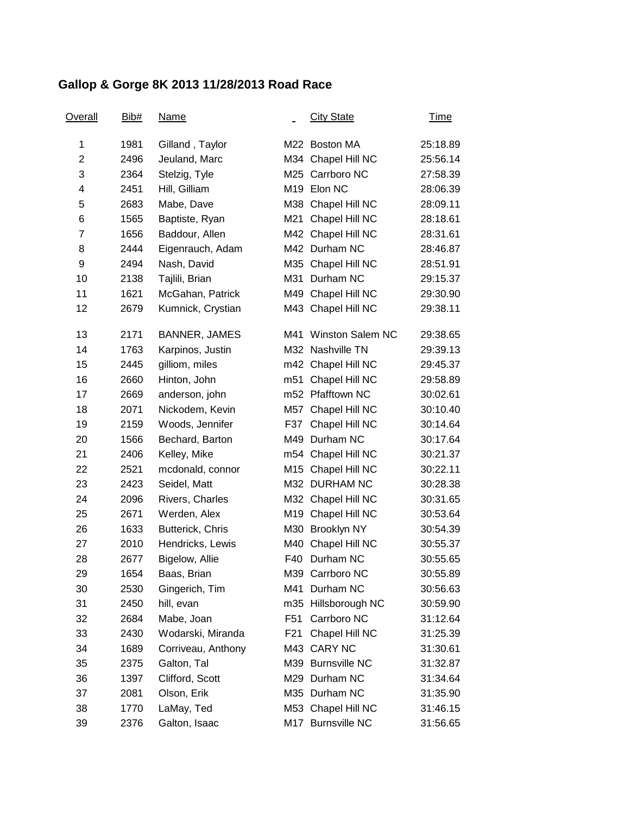## **Gallop & Gorge 8K 2013 11/28/2013 Road Race**

| <u>Overall</u> | Bib# | <u>Name</u>          |                 | <b>City State</b>       | <u>Time</u> |
|----------------|------|----------------------|-----------------|-------------------------|-------------|
| 1              | 1981 | Gilland, Taylor      |                 | M22 Boston MA           | 25:18.89    |
| $\overline{2}$ | 2496 | Jeuland, Marc        |                 | M34 Chapel Hill NC      | 25:56.14    |
| 3              | 2364 | Stelzig, Tyle        |                 | M25 Carrboro NC         | 27:58.39    |
| 4              | 2451 | Hill, Gilliam        |                 | M <sub>19</sub> Elon NC | 28:06.39    |
| 5              | 2683 | Mabe, Dave           |                 | M38 Chapel Hill NC      | 28:09.11    |
| 6              | 1565 | Baptiste, Ryan       |                 | M21 Chapel Hill NC      | 28:18.61    |
| 7              | 1656 | Baddour, Allen       |                 | M42 Chapel Hill NC      | 28:31.61    |
| 8              | 2444 | Eigenrauch, Adam     |                 | M42 Durham NC           | 28:46.87    |
| 9              | 2494 | Nash, David          |                 | M35 Chapel Hill NC      | 28:51.91    |
| 10             | 2138 | Tajlili, Brian       | M31             | Durham NC               | 29:15.37    |
| 11             | 1621 | McGahan, Patrick     |                 | M49 Chapel Hill NC      | 29:30.90    |
| 12             | 2679 | Kumnick, Crystian    |                 | M43 Chapel Hill NC      | 29:38.11    |
| 13             | 2171 | <b>BANNER, JAMES</b> | M41             | <b>Winston Salem NC</b> | 29:38.65    |
| 14             | 1763 | Karpinos, Justin     |                 | M32 Nashville TN        | 29:39.13    |
| 15             | 2445 | gilliom, miles       |                 | m42 Chapel Hill NC      | 29:45.37    |
| 16             | 2660 | Hinton, John         |                 | m51 Chapel Hill NC      | 29:58.89    |
| 17             | 2669 | anderson, john       |                 | m52 Pfafftown NC        | 30:02.61    |
| 18             | 2071 | Nickodem, Kevin      | M57             | Chapel Hill NC          | 30:10.40    |
| 19             | 2159 | Woods, Jennifer      |                 | F37 Chapel Hill NC      | 30:14.64    |
| 20             | 1566 | Bechard, Barton      |                 | M49 Durham NC           | 30:17.64    |
| 21             | 2406 | Kelley, Mike         |                 | m54 Chapel Hill NC      | 30:21.37    |
| 22             | 2521 | mcdonald, connor     |                 | M15 Chapel Hill NC      | 30:22.11    |
| 23             | 2423 | Seidel, Matt         |                 | M32 DURHAM NC           | 30:28.38    |
| 24             | 2096 | Rivers, Charles      |                 | M32 Chapel Hill NC      | 30:31.65    |
| 25             | 2671 | Werden, Alex         |                 | M19 Chapel Hill NC      | 30:53.64    |
| 26             | 1633 | Butterick, Chris     |                 | M30 Brooklyn NY         | 30:54.39    |
| 27             | 2010 | Hendricks, Lewis     | M40             | Chapel Hill NC          | 30:55.37    |
| 28             | 2677 | Bigelow, Allie       |                 | F40 Durham NC           | 30:55.65    |
| 29             | 1654 | Baas, Brian          |                 | M39 Carrboro NC         | 30:55.89    |
| 30             | 2530 | Gingerich, Tim       | M41             | Durham NC               | 30:56.63    |
| 31             | 2450 | hill, evan           |                 | m35 Hillsborough NC     | 30:59.90    |
| 32             | 2684 | Mabe, Joan           | F <sub>51</sub> | Carrboro NC             | 31:12.64    |
| 33             | 2430 | Wodarski, Miranda    | F21             | Chapel Hill NC          | 31:25.39    |
| 34             | 1689 | Corriveau, Anthony   | M43             | <b>CARY NC</b>          | 31:30.61    |
| 35             | 2375 | Galton, Tal          |                 | M39 Burnsville NC       | 31:32.87    |
| 36             | 1397 | Clifford, Scott      |                 | M29 Durham NC           | 31:34.64    |
| 37             | 2081 | Olson, Erik          |                 | M35 Durham NC           | 31:35.90    |
| 38             | 1770 | LaMay, Ted           |                 | M53 Chapel Hill NC      | 31:46.15    |
| 39             | 2376 | Galton, Isaac        |                 | M17 Burnsville NC       | 31:56.65    |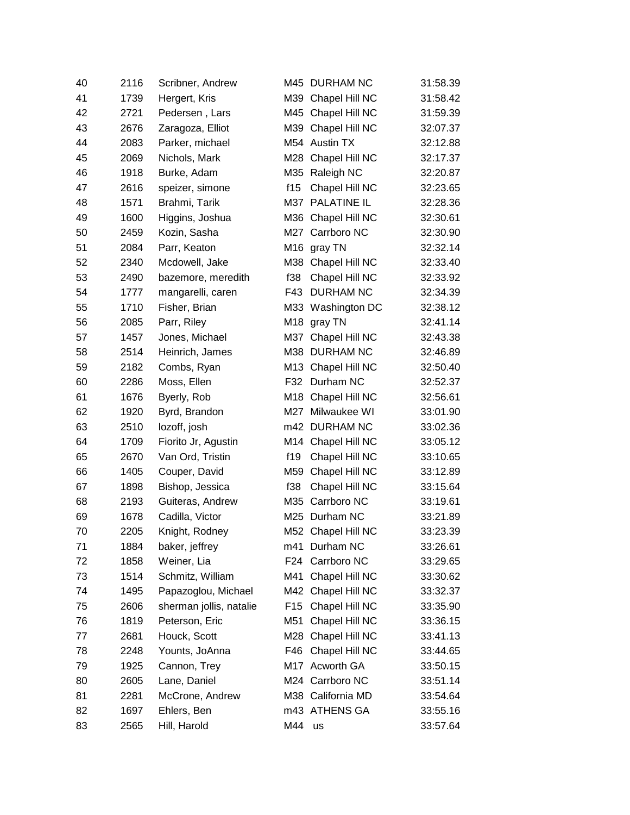| 40 | 2116 | Scribner, Andrew        |                 | M45 DURHAM NC      | 31:58.39 |
|----|------|-------------------------|-----------------|--------------------|----------|
| 41 | 1739 | Hergert, Kris           |                 | M39 Chapel Hill NC | 31:58.42 |
| 42 | 2721 | Pedersen, Lars          |                 | M45 Chapel Hill NC | 31:59.39 |
| 43 | 2676 | Zaragoza, Elliot        |                 | M39 Chapel Hill NC | 32:07.37 |
| 44 | 2083 | Parker, michael         |                 | M54 Austin TX      | 32:12.88 |
| 45 | 2069 | Nichols, Mark           |                 | M28 Chapel Hill NC | 32:17.37 |
| 46 | 1918 | Burke, Adam             | M35             | Raleigh NC         | 32:20.87 |
| 47 | 2616 | speizer, simone         | f15             | Chapel Hill NC     | 32:23.65 |
| 48 | 1571 | Brahmi, Tarik           |                 | M37 PALATINE IL    | 32:28.36 |
| 49 | 1600 | Higgins, Joshua         |                 | M36 Chapel Hill NC | 32:30.61 |
| 50 | 2459 | Kozin, Sasha            | M27             | Carrboro NC        | 32:30.90 |
| 51 | 2084 | Parr, Keaton            | M16             | gray TN            | 32:32.14 |
| 52 | 2340 | Mcdowell, Jake          |                 | M38 Chapel Hill NC | 32:33.40 |
| 53 | 2490 | bazemore, meredith      | f38             | Chapel Hill NC     | 32:33.92 |
| 54 | 1777 | mangarelli, caren       | F43             | <b>DURHAM NC</b>   | 32:34.39 |
| 55 | 1710 | Fisher, Brian           |                 | M33 Washington DC  | 32:38.12 |
| 56 | 2085 | Parr, Riley             | M18             | gray TN            | 32:41.14 |
| 57 | 1457 | Jones, Michael          | M37             | Chapel Hill NC     | 32:43.38 |
| 58 | 2514 | Heinrich, James         | M38             | <b>DURHAM NC</b>   | 32:46.89 |
| 59 | 2182 | Combs, Ryan             |                 | M13 Chapel Hill NC | 32:50.40 |
| 60 | 2286 | Moss, Ellen             | F32             | Durham NC          | 32:52.37 |
| 61 | 1676 | Byerly, Rob             |                 | M18 Chapel Hill NC | 32:56.61 |
| 62 | 1920 | Byrd, Brandon           | M27             | Milwaukee WI       | 33:01.90 |
| 63 | 2510 | lozoff, josh            |                 | m42 DURHAM NC      | 33:02.36 |
| 64 | 1709 | Fiorito Jr, Agustin     |                 | M14 Chapel Hill NC | 33:05.12 |
| 65 | 2670 | Van Ord, Tristin        | f19             | Chapel Hill NC     | 33:10.65 |
| 66 | 1405 | Couper, David           | M59             | Chapel Hill NC     | 33:12.89 |
| 67 | 1898 | Bishop, Jessica         | f38             | Chapel Hill NC     | 33:15.64 |
| 68 | 2193 | Guiteras, Andrew        |                 | M35 Carrboro NC    | 33:19.61 |
| 69 | 1678 | Cadilla, Victor         | M25             | Durham NC          | 33:21.89 |
| 70 | 2205 | Knight, Rodney          |                 | M52 Chapel Hill NC | 33:23.39 |
| 71 | 1884 | baker, jeffrey          |                 | m41 Durham NC      | 33:26.61 |
| 72 | 1858 | Weiner, Lia             | F <sub>24</sub> | Carrboro NC        | 33:29.65 |
| 73 | 1514 | Schmitz, William        | M41             | Chapel Hill NC     | 33:30.62 |
| 74 | 1495 | Papazoglou, Michael     |                 | M42 Chapel Hill NC | 33:32.37 |
| 75 | 2606 | sherman jollis, natalie | F <sub>15</sub> | Chapel Hill NC     | 33:35.90 |
| 76 | 1819 | Peterson, Eric          | M51             | Chapel Hill NC     | 33:36.15 |
| 77 | 2681 | Houck, Scott            |                 | M28 Chapel Hill NC | 33:41.13 |
| 78 | 2248 | Younts, JoAnna          | F46             | Chapel Hill NC     | 33:44.65 |
| 79 | 1925 | Cannon, Trey            |                 | M17 Acworth GA     | 33:50.15 |
| 80 | 2605 | Lane, Daniel            |                 | M24 Carrboro NC    | 33:51.14 |
| 81 | 2281 | McCrone, Andrew         |                 | M38 California MD  | 33:54.64 |
| 82 | 1697 | Ehlers, Ben             |                 | m43 ATHENS GA      | 33:55.16 |
| 83 | 2565 | Hill, Harold            | M44 us          |                    | 33:57.64 |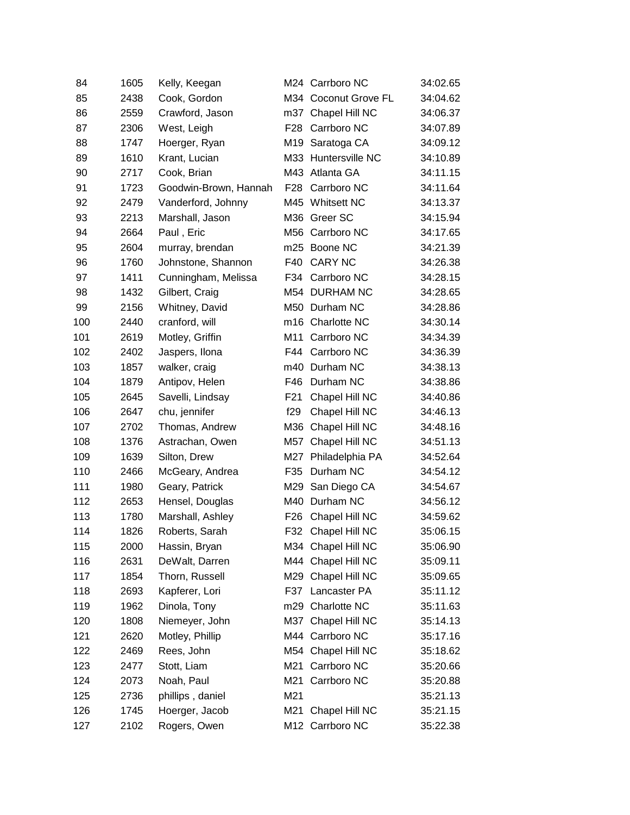| 84  | 1605 | Kelly, Keegan         |                 | M24 Carrboro NC      | 34:02.65 |
|-----|------|-----------------------|-----------------|----------------------|----------|
| 85  | 2438 | Cook, Gordon          |                 | M34 Coconut Grove FL | 34:04.62 |
| 86  | 2559 | Crawford, Jason       |                 | m37 Chapel Hill NC   | 34:06.37 |
| 87  | 2306 | West, Leigh           | F <sub>28</sub> | Carrboro NC          | 34:07.89 |
| 88  | 1747 | Hoerger, Ryan         |                 | M19 Saratoga CA      | 34:09.12 |
| 89  | 1610 | Krant, Lucian         |                 | M33 Huntersville NC  | 34:10.89 |
| 90  | 2717 | Cook, Brian           |                 | M43 Atlanta GA       | 34:11.15 |
| 91  | 1723 | Goodwin-Brown, Hannah | F28             | Carrboro NC          | 34:11.64 |
| 92  | 2479 | Vanderford, Johnny    |                 | M45 Whitsett NC      | 34:13.37 |
| 93  | 2213 | Marshall, Jason       |                 | M36 Greer SC         | 34:15.94 |
| 94  | 2664 | Paul, Eric            |                 | M56 Carrboro NC      | 34:17.65 |
| 95  | 2604 | murray, brendan       |                 | m25 Boone NC         | 34:21.39 |
| 96  | 1760 | Johnstone, Shannon    | F40             | <b>CARY NC</b>       | 34:26.38 |
| 97  | 1411 | Cunningham, Melissa   | F34             | Carrboro NC          | 34:28.15 |
| 98  | 1432 | Gilbert, Craig        |                 | M54 DURHAM NC        | 34:28.65 |
| 99  | 2156 | Whitney, David        |                 | M50 Durham NC        | 34:28.86 |
| 100 | 2440 | cranford, will        |                 | m16 Charlotte NC     | 34:30.14 |
| 101 | 2619 | Motley, Griffin       | M11             | Carrboro NC          | 34:34.39 |
| 102 | 2402 | Jaspers, Ilona        | F44             | Carrboro NC          | 34:36.39 |
| 103 | 1857 | walker, craig         |                 | m40 Durham NC        | 34:38.13 |
| 104 | 1879 | Antipov, Helen        | F46             | Durham NC            | 34:38.86 |
| 105 | 2645 | Savelli, Lindsay      | F <sub>21</sub> | Chapel Hill NC       | 34:40.86 |
| 106 | 2647 | chu, jennifer         | f29             | Chapel Hill NC       | 34:46.13 |
| 107 | 2702 | Thomas, Andrew        | M36             | Chapel Hill NC       | 34:48.16 |
| 108 | 1376 | Astrachan, Owen       | M57             | Chapel Hill NC       | 34:51.13 |
| 109 | 1639 | Silton, Drew          | M27             | Philadelphia PA      | 34:52.64 |
| 110 | 2466 | McGeary, Andrea       | F35             | Durham NC            | 34:54.12 |
| 111 | 1980 | Geary, Patrick        |                 | M29 San Diego CA     | 34:54.67 |
| 112 | 2653 | Hensel, Douglas       |                 | M40 Durham NC        | 34:56.12 |
| 113 | 1780 | Marshall, Ashley      | F <sub>26</sub> | Chapel Hill NC       | 34:59.62 |
| 114 | 1826 | Roberts, Sarah        |                 | F32 Chapel Hill NC   | 35:06.15 |
| 115 | 2000 | Hassin, Bryan         |                 | M34 Chapel Hill NC   | 35:06.90 |
| 116 | 2631 | DeWalt, Darren        |                 | M44 Chapel Hill NC   | 35:09.11 |
| 117 | 1854 | Thorn, Russell        |                 | M29 Chapel Hill NC   | 35:09.65 |
| 118 | 2693 | Kapferer, Lori        | F37             | Lancaster PA         | 35:11.12 |
| 119 | 1962 | Dinola, Tony          |                 | m29 Charlotte NC     | 35:11.63 |
| 120 | 1808 | Niemeyer, John        |                 | M37 Chapel Hill NC   | 35:14.13 |
| 121 | 2620 | Motley, Phillip       |                 | M44 Carrboro NC      | 35:17.16 |
| 122 | 2469 | Rees, John            |                 | M54 Chapel Hill NC   | 35:18.62 |
| 123 | 2477 | Stott, Liam           | M21             | Carrboro NC          | 35:20.66 |
| 124 | 2073 | Noah, Paul            | M21             | Carrboro NC          | 35:20.88 |
| 125 | 2736 | phillips, daniel      | M21             |                      | 35:21.13 |
| 126 | 1745 | Hoerger, Jacob        | M21             | Chapel Hill NC       | 35:21.15 |
| 127 | 2102 | Rogers, Owen          |                 | M12 Carrboro NC      | 35:22.38 |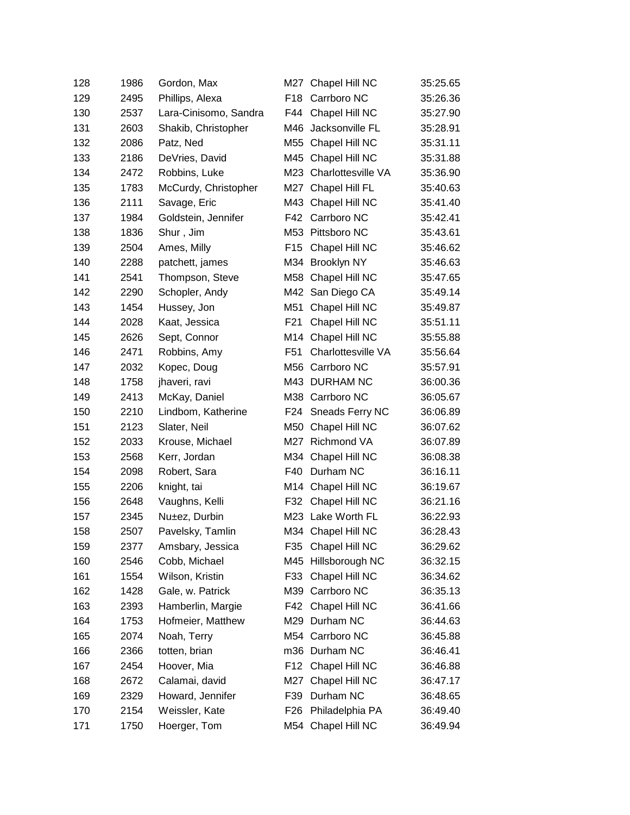| 128 | 1986 | Gordon, Max           |                 | M27 Chapel Hill NC  | 35:25.65 |
|-----|------|-----------------------|-----------------|---------------------|----------|
| 129 | 2495 | Phillips, Alexa       | F <sub>18</sub> | Carrboro NC         | 35:26.36 |
| 130 | 2537 | Lara-Cinisomo, Sandra | F44             | Chapel Hill NC      | 35:27.90 |
| 131 | 2603 | Shakib, Christopher   | M46             | Jacksonville FL     | 35:28.91 |
| 132 | 2086 | Patz, Ned             | M55             | Chapel Hill NC      | 35:31.11 |
| 133 | 2186 | DeVries, David        |                 | M45 Chapel Hill NC  | 35:31.88 |
| 134 | 2472 | Robbins, Luke         | M23             | Charlottesville VA  | 35:36.90 |
| 135 | 1783 | McCurdy, Christopher  |                 | M27 Chapel Hill FL  | 35:40.63 |
| 136 | 2111 | Savage, Eric          |                 | M43 Chapel Hill NC  | 35:41.40 |
| 137 | 1984 | Goldstein, Jennifer   | F42             | Carrboro NC         | 35:42.41 |
| 138 | 1836 | Shur, Jim             |                 | M53 Pittsboro NC    | 35:43.61 |
| 139 | 2504 | Ames, Milly           | F <sub>15</sub> | Chapel Hill NC      | 35:46.62 |
| 140 | 2288 | patchett, james       |                 | M34 Brooklyn NY     | 35:46.63 |
| 141 | 2541 | Thompson, Steve       | M58             | Chapel Hill NC      | 35:47.65 |
| 142 | 2290 | Schopler, Andy        |                 | M42 San Diego CA    | 35:49.14 |
| 143 | 1454 | Hussey, Jon           | M51             | Chapel Hill NC      | 35:49.87 |
| 144 | 2028 | Kaat, Jessica         | F <sub>21</sub> | Chapel Hill NC      | 35:51.11 |
| 145 | 2626 | Sept, Connor          |                 | M14 Chapel Hill NC  | 35:55.88 |
| 146 | 2471 | Robbins, Amy          | F <sub>51</sub> | Charlottesville VA  | 35:56.64 |
| 147 | 2032 | Kopec, Doug           |                 | M56 Carrboro NC     | 35:57.91 |
| 148 | 1758 | jhaveri, ravi         |                 | M43 DURHAM NC       | 36:00.36 |
| 149 | 2413 | McKay, Daniel         |                 | M38 Carrboro NC     | 36:05.67 |
| 150 | 2210 | Lindbom, Katherine    | F24             | Sneads Ferry NC     | 36:06.89 |
| 151 | 2123 | Slater, Neil          | M50             | Chapel Hill NC      | 36:07.62 |
| 152 | 2033 | Krouse, Michael       |                 | M27 Richmond VA     | 36:07.89 |
| 153 | 2568 | Kerr, Jordan          | M34             | Chapel Hill NC      | 36:08.38 |
| 154 | 2098 | Robert, Sara          | F40             | Durham NC           | 36:16.11 |
| 155 | 2206 | knight, tai           | M14             | Chapel Hill NC      | 36:19.67 |
| 156 | 2648 | Vaughns, Kelli        | F32             | Chapel Hill NC      | 36:21.16 |
| 157 | 2345 | Nu±ez, Durbin         |                 | M23 Lake Worth FL   | 36:22.93 |
| 158 | 2507 | Pavelsky, Tamlin      |                 | M34 Chapel Hill NC  | 36:28.43 |
| 159 | 2377 | Amsbary, Jessica      |                 | F35 Chapel Hill NC  | 36:29.62 |
| 160 | 2546 | Cobb, Michael         |                 | M45 Hillsborough NC | 36:32.15 |
| 161 | 1554 | Wilson, Kristin       |                 | F33 Chapel Hill NC  | 36:34.62 |
| 162 | 1428 | Gale, w. Patrick      | M39             | Carrboro NC         | 36:35.13 |
| 163 | 2393 | Hamberlin, Margie     | F42             | Chapel Hill NC      | 36:41.66 |
| 164 | 1753 | Hofmeier, Matthew     |                 | M29 Durham NC       | 36:44.63 |
| 165 | 2074 | Noah, Terry           |                 | M54 Carrboro NC     | 36:45.88 |
| 166 | 2366 | totten, brian         |                 | m36 Durham NC       | 36:46.41 |
| 167 | 2454 | Hoover, Mia           | F <sub>12</sub> | Chapel Hill NC      | 36:46.88 |
| 168 | 2672 | Calamai, david        | M27             | Chapel Hill NC      | 36:47.17 |
| 169 | 2329 | Howard, Jennifer      | F39             | Durham NC           | 36:48.65 |
| 170 | 2154 | Weissler, Kate        | F26             | Philadelphia PA     | 36:49.40 |
| 171 | 1750 | Hoerger, Tom          |                 | M54 Chapel Hill NC  | 36:49.94 |
|     |      |                       |                 |                     |          |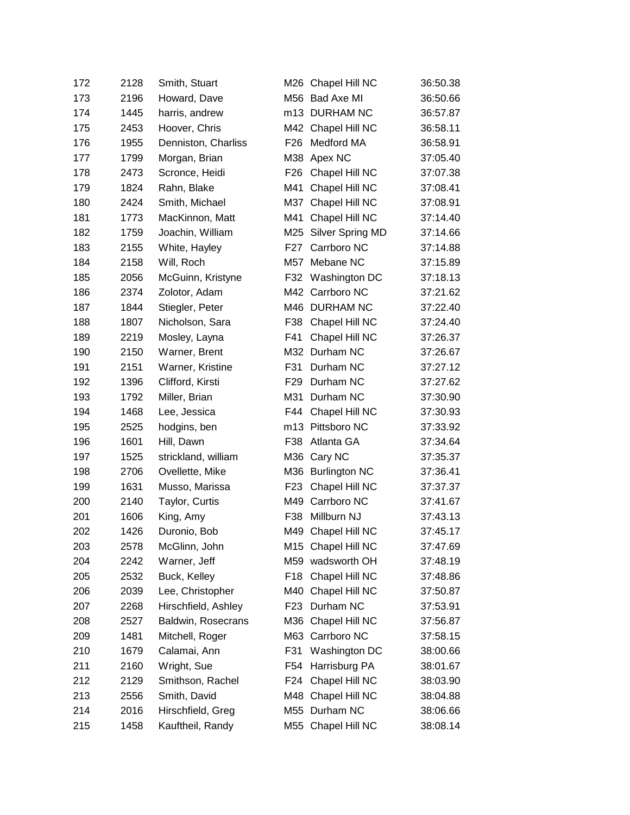| 172 | 2128 | Smith, Stuart       |                  | M26 Chapel Hill NC | 36:50.38 |
|-----|------|---------------------|------------------|--------------------|----------|
| 173 | 2196 | Howard, Dave        |                  | M56 Bad Axe MI     | 36:50.66 |
| 174 | 1445 | harris, andrew      |                  | m13 DURHAM NC      | 36:57.87 |
| 175 | 2453 | Hoover, Chris       | M42              | Chapel Hill NC     | 36:58.11 |
| 176 | 1955 | Denniston, Charliss | F <sub>26</sub>  | Medford MA         | 36:58.91 |
| 177 | 1799 | Morgan, Brian       | M38              | Apex NC            | 37:05.40 |
| 178 | 2473 | Scronce, Heidi      | F <sub>26</sub>  | Chapel Hill NC     | 37:07.38 |
| 179 | 1824 | Rahn, Blake         | M41              | Chapel Hill NC     | 37:08.41 |
| 180 | 2424 | Smith, Michael      | M37              | Chapel Hill NC     | 37:08.91 |
| 181 | 1773 | MacKinnon, Matt     | M41              | Chapel Hill NC     | 37:14.40 |
| 182 | 1759 | Joachin, William    | M25              | Silver Spring MD   | 37:14.66 |
| 183 | 2155 | White, Hayley       | F <sub>2</sub> 7 | Carrboro NC        | 37:14.88 |
| 184 | 2158 | Will, Roch          | M57              | Mebane NC          | 37:15.89 |
| 185 | 2056 | McGuinn, Kristyne   | F32              | Washington DC      | 37:18.13 |
| 186 | 2374 | Zolotor, Adam       |                  | M42 Carrboro NC    | 37:21.62 |
| 187 | 1844 | Stiegler, Peter     | M46              | <b>DURHAM NC</b>   | 37:22.40 |
| 188 | 1807 | Nicholson, Sara     | F38              | Chapel Hill NC     | 37:24.40 |
| 189 | 2219 | Mosley, Layna       | F41              | Chapel Hill NC     | 37:26.37 |
| 190 | 2150 | Warner, Brent       | M32              | Durham NC          | 37:26.67 |
| 191 | 2151 | Warner, Kristine    | F31              | Durham NC          | 37:27.12 |
| 192 | 1396 | Clifford, Kirsti    | F <sub>29</sub>  | Durham NC          | 37:27.62 |
| 193 | 1792 | Miller, Brian       | M31              | Durham NC          | 37:30.90 |
| 194 | 1468 | Lee, Jessica        | F44              | Chapel Hill NC     | 37:30.93 |
| 195 | 2525 | hodgins, ben        | m13              | Pittsboro NC       | 37:33.92 |
| 196 | 1601 | Hill, Dawn          | F38              | Atlanta GA         | 37:34.64 |
| 197 | 1525 | strickland, william |                  | M36 Cary NC        | 37:35.37 |
| 198 | 2706 | Ovellette, Mike     |                  | M36 Burlington NC  | 37:36.41 |
| 199 | 1631 | Musso, Marissa      | F <sub>23</sub>  | Chapel Hill NC     | 37:37.37 |
| 200 | 2140 | Taylor, Curtis      |                  | M49 Carrboro NC    | 37:41.67 |
| 201 | 1606 | King, Amy           | F38              | Millburn NJ        | 37:43.13 |
| 202 | 1426 | Duronio, Bob        | M49              | Chapel Hill NC     | 37:45.17 |
| 203 | 2578 | McGlinn, John       |                  | M15 Chapel Hill NC | 37:47.69 |
| 204 | 2242 | Warner, Jeff        | M59              | wadsworth OH       | 37:48.19 |
| 205 | 2532 | Buck, Kelley        | F <sub>18</sub>  | Chapel Hill NC     | 37:48.86 |
| 206 | 2039 | Lee, Christopher    | M40              | Chapel Hill NC     | 37:50.87 |
| 207 | 2268 | Hirschfield, Ashley | F <sub>23</sub>  | Durham NC          | 37:53.91 |
| 208 | 2527 | Baldwin, Rosecrans  | M36              | Chapel Hill NC     | 37:56.87 |
| 209 | 1481 | Mitchell, Roger     | M63              | Carrboro NC        | 37:58.15 |
| 210 | 1679 | Calamai, Ann        | F31              | Washington DC      | 38:00.66 |
| 211 | 2160 | Wright, Sue         | F54              | Harrisburg PA      | 38:01.67 |
| 212 | 2129 | Smithson, Rachel    | F24              | Chapel Hill NC     | 38:03.90 |
| 213 | 2556 | Smith, David        | M48              | Chapel Hill NC     | 38:04.88 |
| 214 | 2016 | Hirschfield, Greg   |                  | M55 Durham NC      | 38:06.66 |
| 215 | 1458 | Kauftheil, Randy    |                  | M55 Chapel Hill NC | 38:08.14 |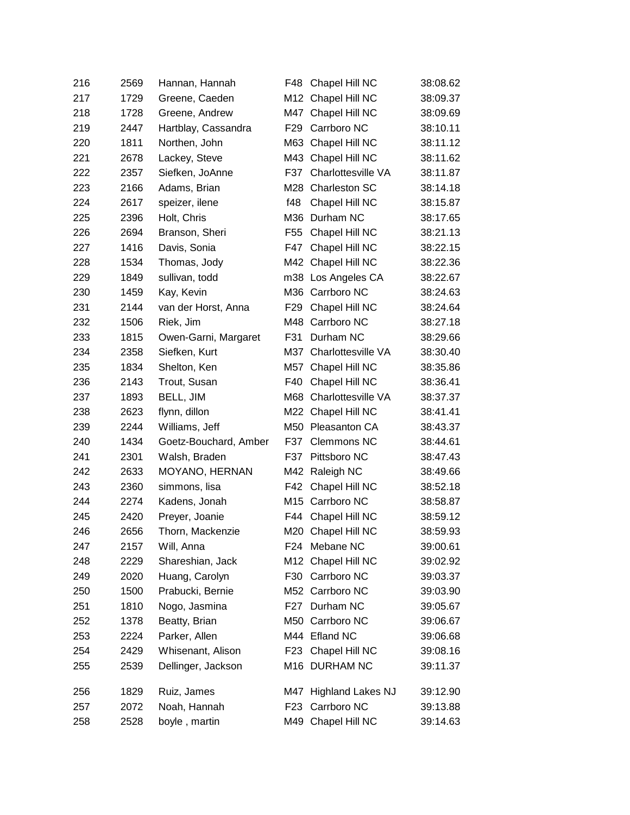| 216 | 2569 | Hannan, Hannah        | F48             | Chapel Hill NC           | 38:08.62 |
|-----|------|-----------------------|-----------------|--------------------------|----------|
| 217 | 1729 | Greene, Caeden        |                 | M12 Chapel Hill NC       | 38:09.37 |
| 218 | 1728 | Greene, Andrew        |                 | M47 Chapel Hill NC       | 38:09.69 |
| 219 | 2447 | Hartblay, Cassandra   | F <sub>29</sub> | Carrboro NC              | 38:10.11 |
| 220 | 1811 | Northen, John         |                 | M63 Chapel Hill NC       | 38:11.12 |
| 221 | 2678 | Lackey, Steve         | M43             | Chapel Hill NC           | 38:11.62 |
| 222 | 2357 | Siefken, JoAnne       | F37             | Charlottesville VA       | 38:11.87 |
| 223 | 2166 | Adams, Brian          | M28             | Charleston SC            | 38:14.18 |
| 224 | 2617 | speizer, ilene        | f48             | Chapel Hill NC           | 38:15.87 |
| 225 | 2396 | Holt, Chris           | M36             | Durham NC                | 38:17.65 |
| 226 | 2694 | Branson, Sheri        | F <sub>55</sub> | Chapel Hill NC           | 38:21.13 |
| 227 | 1416 | Davis, Sonia          | F47             | Chapel Hill NC           | 38:22.15 |
| 228 | 1534 | Thomas, Jody          |                 | M42 Chapel Hill NC       | 38:22.36 |
| 229 | 1849 | sullivan, todd        |                 | m38 Los Angeles CA       | 38:22.67 |
| 230 | 1459 | Kay, Kevin            |                 | M36 Carrboro NC          | 38:24.63 |
| 231 | 2144 | van der Horst, Anna   | F <sub>29</sub> | Chapel Hill NC           | 38:24.64 |
| 232 | 1506 | Riek, Jim             |                 | M48 Carrboro NC          | 38:27.18 |
| 233 | 1815 | Owen-Garni, Margaret  | F31             | Durham NC                | 38:29.66 |
| 234 | 2358 | Siefken, Kurt         | M37             | Charlottesville VA       | 38:30.40 |
| 235 | 1834 | Shelton, Ken          | M57             | Chapel Hill NC           | 38:35.86 |
| 236 | 2143 | Trout, Susan          | F40             | Chapel Hill NC           | 38:36.41 |
| 237 | 1893 | BELL, JIM             | M68             | Charlottesville VA       | 38:37.37 |
| 238 | 2623 | flynn, dillon         | M22             | Chapel Hill NC           | 38:41.41 |
| 239 | 2244 | Williams, Jeff        |                 | M50 Pleasanton CA        | 38:43.37 |
| 240 | 1434 | Goetz-Bouchard, Amber | F37             | <b>Clemmons NC</b>       | 38:44.61 |
| 241 | 2301 | Walsh, Braden         | F37             | Pittsboro NC             | 38:47.43 |
| 242 | 2633 | <b>MOYANO, HERNAN</b> |                 | M42 Raleigh NC           | 38:49.66 |
| 243 | 2360 | simmons, lisa         | F42             | Chapel Hill NC           | 38:52.18 |
| 244 | 2274 | Kadens, Jonah         |                 | M15 Carrboro NC          | 38:58.87 |
| 245 | 2420 | Preyer, Joanie        | F44             | Chapel Hill NC           | 38:59.12 |
| 246 | 2656 | Thorn, Mackenzie      |                 | M20 Chapel Hill NC       | 38:59.93 |
| 247 | 2157 | Will, Anna            |                 | F24 Mebane NC            | 39:00.61 |
| 248 | 2229 | Shareshian, Jack      |                 | M12 Chapel Hill NC       | 39:02.92 |
| 249 | 2020 | Huang, Carolyn        |                 | F30 Carrboro NC          | 39:03.37 |
| 250 | 1500 | Prabucki, Bernie      |                 | M52 Carrboro NC          | 39:03.90 |
| 251 | 1810 | Nogo, Jasmina         |                 | F27 Durham NC            | 39:05.67 |
| 252 | 1378 | Beatty, Brian         |                 | M50 Carrboro NC          | 39:06.67 |
| 253 | 2224 | Parker, Allen         |                 | M44 Efland NC            | 39:06.68 |
| 254 | 2429 | Whisenant, Alison     | F <sub>23</sub> | Chapel Hill NC           | 39:08.16 |
| 255 | 2539 | Dellinger, Jackson    |                 | M16 DURHAM NC            | 39:11.37 |
| 256 | 1829 | Ruiz, James           | M47             | <b>Highland Lakes NJ</b> | 39:12.90 |
| 257 | 2072 | Noah, Hannah          | F <sub>23</sub> | Carrboro NC              | 39:13.88 |
| 258 | 2528 | boyle, martin         |                 | M49 Chapel Hill NC       | 39:14.63 |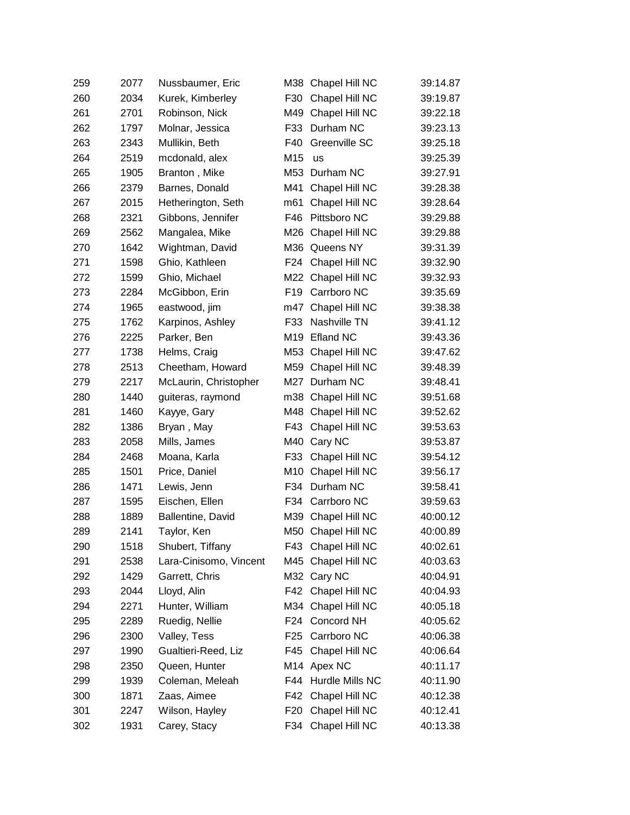| 259 | 2077 | Nussbaumer, Eric       |                 | M38 Chapel Hill NC  | 39:14.87 |
|-----|------|------------------------|-----------------|---------------------|----------|
| 260 | 2034 | Kurek, Kimberley       | F30             | Chapel Hill NC      | 39:19.87 |
| 261 | 2701 | Robinson, Nick         |                 | M49 Chapel Hill NC  | 39:22.18 |
| 262 | 1797 | Molnar, Jessica        | F33             | Durham NC           | 39:23.13 |
| 263 | 2343 | Mullikin, Beth         | F40             | Greenville SC       | 39:25.18 |
| 264 | 2519 | mcdonald, alex         | M15             | us                  | 39:25.39 |
| 265 | 1905 | Branton, Mike          |                 | M53 Durham NC       | 39:27.91 |
| 266 | 2379 | Barnes, Donald         | M41             | Chapel Hill NC      | 39:28.38 |
| 267 | 2015 | Hetherington, Seth     | m61             | Chapel Hill NC      | 39:28.64 |
| 268 | 2321 | Gibbons, Jennifer      | F46             | Pittsboro NC        | 39:29.88 |
| 269 | 2562 | Mangalea, Mike         | M26             | Chapel Hill NC      | 39:29.88 |
| 270 | 1642 | Wightman, David        |                 | M36 Queens NY       | 39:31.39 |
| 271 | 1598 | Ghio, Kathleen         |                 | F24 Chapel Hill NC  | 39:32.90 |
| 272 | 1599 | Ghio, Michael          |                 | M22 Chapel Hill NC  | 39:32.93 |
| 273 | 2284 | McGibbon, Erin         | F <sub>19</sub> | Carrboro NC         | 39:35.69 |
| 274 | 1965 | eastwood, jim          | m47             | Chapel Hill NC      | 39:38.38 |
| 275 | 1762 | Karpinos, Ashley       | F33             | Nashville TN        | 39:41.12 |
| 276 | 2225 | Parker, Ben            | M19             | <b>Efland NC</b>    | 39:43.36 |
| 277 | 1738 | Helms, Craig           |                 | M53 Chapel Hill NC  | 39:47.62 |
| 278 | 2513 | Cheetham, Howard       |                 | M59 Chapel Hill NC  | 39:48.39 |
| 279 | 2217 | McLaurin, Christopher  | M27             | Durham NC           | 39:48.41 |
| 280 | 1440 | guiteras, raymond      |                 | m38 Chapel Hill NC  | 39:51.68 |
| 281 | 1460 | Kayye, Gary            |                 | M48 Chapel Hill NC  | 39:52.62 |
| 282 | 1386 | Bryan, May             | F43             | Chapel Hill NC      | 39:53.63 |
| 283 | 2058 | Mills, James           |                 | M40 Cary NC         | 39:53.87 |
| 284 | 2468 | Moana, Karla           | F33             | Chapel Hill NC      | 39:54.12 |
| 285 | 1501 | Price, Daniel          |                 | M10 Chapel Hill NC  | 39:56.17 |
| 286 | 1471 | Lewis, Jenn            | F34             | Durham NC           | 39:58.41 |
| 287 | 1595 | Eischen, Ellen         |                 | F34 Carrboro NC     | 39:59.63 |
| 288 | 1889 | Ballentine, David      | M39             | Chapel Hill NC      | 40:00.12 |
| 289 | 2141 | Taylor, Ken            |                 | M50 Chapel Hill NC  | 40:00.89 |
| 290 | 1518 | Shubert, Tiffany       |                 | F43 Chapel Hill NC  | 40:02.61 |
| 291 | 2538 | Lara-Cinisomo, Vincent |                 | M45 Chapel Hill NC  | 40:03.63 |
| 292 | 1429 | Garrett, Chris         |                 | M32 Cary NC         | 40:04.91 |
| 293 | 2044 | Lloyd, Alin            |                 | F42 Chapel Hill NC  | 40:04.93 |
| 294 | 2271 | Hunter, William        |                 | M34 Chapel Hill NC  | 40:05.18 |
| 295 | 2289 | Ruedig, Nellie         |                 | F24 Concord NH      | 40:05.62 |
| 296 | 2300 | Valley, Tess           | F25             | Carrboro NC         | 40:06.38 |
| 297 | 1990 | Gualtieri-Reed, Liz    | F45             | Chapel Hill NC      | 40:06.64 |
| 298 | 2350 | Queen, Hunter          |                 | M14 Apex NC         | 40:11.17 |
| 299 | 1939 | Coleman, Meleah        |                 | F44 Hurdle Mills NC | 40:11.90 |
| 300 | 1871 | Zaas, Aimee            | F42             | Chapel Hill NC      | 40:12.38 |
| 301 | 2247 | Wilson, Hayley         | F <sub>20</sub> | Chapel Hill NC      | 40:12.41 |
| 302 | 1931 | Carey, Stacy           |                 | F34 Chapel Hill NC  | 40:13.38 |
|     |      |                        |                 |                     |          |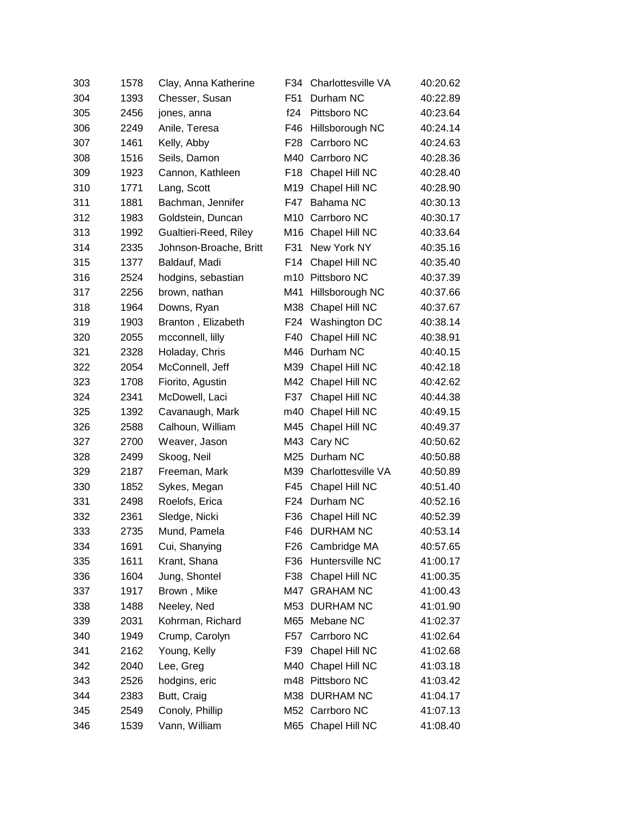| 303 | 1578 | Clay, Anna Katherine   | F34             | Charlottesville VA | 40:20.62 |
|-----|------|------------------------|-----------------|--------------------|----------|
| 304 | 1393 | Chesser, Susan         | F <sub>51</sub> | Durham NC          | 40:22.89 |
| 305 | 2456 | jones, anna            | f24             | Pittsboro NC       | 40:23.64 |
| 306 | 2249 | Anile, Teresa          | F46             | Hillsborough NC    | 40:24.14 |
| 307 | 1461 | Kelly, Abby            | F <sub>28</sub> | Carrboro NC        | 40:24.63 |
| 308 | 1516 | Seils, Damon           | M40             | Carrboro NC        | 40:28.36 |
| 309 | 1923 | Cannon, Kathleen       | F <sub>18</sub> | Chapel Hill NC     | 40:28.40 |
| 310 | 1771 | Lang, Scott            | M19             | Chapel Hill NC     | 40:28.90 |
| 311 | 1881 | Bachman, Jennifer      | F47             | Bahama NC          | 40:30.13 |
| 312 | 1983 | Goldstein, Duncan      | M10             | Carrboro NC        | 40:30.17 |
| 313 | 1992 | Gualtieri-Reed, Riley  | M16             | Chapel Hill NC     | 40:33.64 |
| 314 | 2335 | Johnson-Broache, Britt | F31             | New York NY        | 40:35.16 |
| 315 | 1377 | Baldauf, Madi          | F14             | Chapel Hill NC     | 40:35.40 |
| 316 | 2524 | hodgins, sebastian     |                 | m10 Pittsboro NC   | 40:37.39 |
| 317 | 2256 | brown, nathan          | M41             | Hillsborough NC    | 40:37.66 |
| 318 | 1964 | Downs, Ryan            | M38             | Chapel Hill NC     | 40:37.67 |
| 319 | 1903 | Branton, Elizabeth     | F24             | Washington DC      | 40:38.14 |
| 320 | 2055 | mcconnell, lilly       | F40             | Chapel Hill NC     | 40:38.91 |
| 321 | 2328 | Holaday, Chris         | M46             | Durham NC          | 40:40.15 |
| 322 | 2054 | McConnell, Jeff        |                 | M39 Chapel Hill NC | 40:42.18 |
| 323 | 1708 | Fiorito, Agustin       | M42             | Chapel Hill NC     | 40:42.62 |
| 324 | 2341 | McDowell, Laci         | F37             | Chapel Hill NC     | 40:44.38 |
| 325 | 1392 | Cavanaugh, Mark        | m40             | Chapel Hill NC     | 40:49.15 |
| 326 | 2588 | Calhoun, William       | M45             | Chapel Hill NC     | 40:49.37 |
| 327 | 2700 | Weaver, Jason          |                 | M43 Cary NC        | 40:50.62 |
| 328 | 2499 | Skoog, Neil            | M25             | Durham NC          | 40:50.88 |
| 329 | 2187 | Freeman, Mark          | M39             | Charlottesville VA | 40:50.89 |
| 330 | 1852 | Sykes, Megan           | F45             | Chapel Hill NC     | 40:51.40 |
| 331 | 2498 | Roelofs, Erica         | F24             | Durham NC          | 40:52.16 |
| 332 | 2361 | Sledge, Nicki          | F36             | Chapel Hill NC     | 40:52.39 |
| 333 | 2735 | Mund, Pamela           | F46             | <b>DURHAM NC</b>   | 40:53.14 |
| 334 | 1691 | Cui, Shanying          | F26             | Cambridge MA       | 40:57.65 |
| 335 | 1611 | Krant, Shana           | F36             | Huntersville NC    | 41:00.17 |
| 336 | 1604 | Jung, Shontel          | F38             | Chapel Hill NC     | 41:00.35 |
| 337 | 1917 | Brown, Mike            | M47             | <b>GRAHAM NC</b>   | 41:00.43 |
| 338 | 1488 | Neeley, Ned            | M53             | <b>DURHAM NC</b>   | 41:01.90 |
| 339 | 2031 | Kohrman, Richard       | M65             | Mebane NC          | 41:02.37 |
| 340 | 1949 | Crump, Carolyn         | F57             | Carrboro NC        | 41:02.64 |
| 341 | 2162 | Young, Kelly           | F39             | Chapel Hill NC     | 41:02.68 |
| 342 | 2040 | Lee, Greg              | M40             | Chapel Hill NC     | 41:03.18 |
| 343 | 2526 | hodgins, eric          |                 | m48 Pittsboro NC   | 41:03.42 |
| 344 | 2383 | Butt, Craig            |                 | M38 DURHAM NC      | 41:04.17 |
| 345 | 2549 | Conoly, Phillip        |                 | M52 Carrboro NC    | 41:07.13 |
| 346 | 1539 | Vann, William          |                 | M65 Chapel Hill NC | 41:08.40 |
|     |      |                        |                 |                    |          |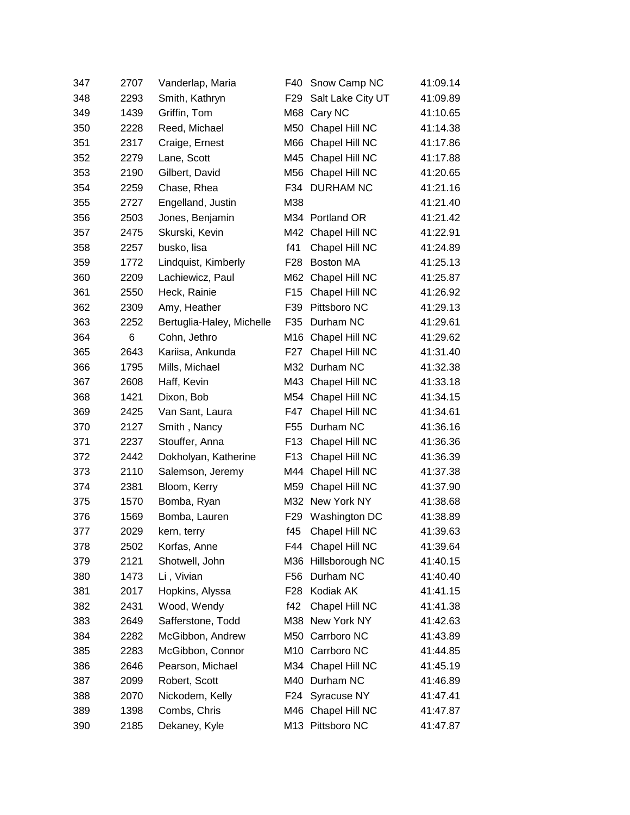| 347 | 2707 | Vanderlap, Maria          | F40              | Snow Camp NC       | 41:09.14 |
|-----|------|---------------------------|------------------|--------------------|----------|
| 348 | 2293 | Smith, Kathryn            | F <sub>29</sub>  | Salt Lake City UT  | 41:09.89 |
| 349 | 1439 | Griffin, Tom              |                  | M68 Cary NC        | 41:10.65 |
| 350 | 2228 | Reed, Michael             | M50              | Chapel Hill NC     | 41:14.38 |
| 351 | 2317 | Craige, Ernest            |                  | M66 Chapel Hill NC | 41:17.86 |
| 352 | 2279 | Lane, Scott               |                  | M45 Chapel Hill NC | 41:17.88 |
| 353 | 2190 | Gilbert, David            | M56              | Chapel Hill NC     | 41:20.65 |
| 354 | 2259 | Chase, Rhea               | F34              | <b>DURHAM NC</b>   | 41:21.16 |
| 355 | 2727 | Engelland, Justin         | M38              |                    | 41:21.40 |
| 356 | 2503 | Jones, Benjamin           |                  | M34 Portland OR    | 41:21.42 |
| 357 | 2475 | Skurski, Kevin            | M42              | Chapel Hill NC     | 41:22.91 |
| 358 | 2257 | busko, lisa               | f41              | Chapel Hill NC     | 41:24.89 |
| 359 | 1772 | Lindquist, Kimberly       | F28              | Boston MA          | 41:25.13 |
| 360 | 2209 | Lachiewicz, Paul          | M62              | Chapel Hill NC     | 41:25.87 |
| 361 | 2550 | Heck, Rainie              | F <sub>15</sub>  | Chapel Hill NC     | 41:26.92 |
| 362 | 2309 | Amy, Heather              | F39              | Pittsboro NC       | 41:29.13 |
| 363 | 2252 | Bertuglia-Haley, Michelle | F35              | Durham NC          | 41:29.61 |
| 364 | 6    | Cohn, Jethro              | M16              | Chapel Hill NC     | 41:29.62 |
| 365 | 2643 | Kariisa, Ankunda          | F <sub>2</sub> 7 | Chapel Hill NC     | 41:31.40 |
| 366 | 1795 | Mills, Michael            |                  | M32 Durham NC      | 41:32.38 |
| 367 | 2608 | Haff, Kevin               |                  | M43 Chapel Hill NC | 41:33.18 |
| 368 | 1421 | Dixon, Bob                |                  | M54 Chapel Hill NC | 41:34.15 |
| 369 | 2425 | Van Sant, Laura           | F47              | Chapel Hill NC     | 41:34.61 |
| 370 | 2127 | Smith, Nancy              | F <sub>55</sub>  | Durham NC          | 41:36.16 |
| 371 | 2237 | Stouffer, Anna            | F <sub>13</sub>  | Chapel Hill NC     | 41:36.36 |
| 372 | 2442 | Dokholyan, Katherine      | F <sub>13</sub>  | Chapel Hill NC     | 41:36.39 |
| 373 | 2110 | Salemson, Jeremy          |                  | M44 Chapel Hill NC | 41:37.38 |
| 374 | 2381 | Bloom, Kerry              | M59              | Chapel Hill NC     | 41:37.90 |
| 375 | 1570 | Bomba, Ryan               |                  | M32 New York NY    | 41:38.68 |
| 376 | 1569 | Bomba, Lauren             | F <sub>29</sub>  | Washington DC      | 41:38.89 |
| 377 | 2029 | kern, terry               | f45              | Chapel Hill NC     | 41:39.63 |
| 378 | 2502 | Korfas, Anne              |                  | F44 Chapel Hill NC | 41:39.64 |
| 379 | 2121 | Shotwell, John            | M36              | Hillsborough NC    | 41:40.15 |
| 380 | 1473 | Li, Vivian                | F <sub>56</sub>  | Durham NC          | 41:40.40 |
| 381 | 2017 | Hopkins, Alyssa           | F <sub>28</sub>  | Kodiak AK          | 41:41.15 |
| 382 | 2431 | Wood, Wendy               | f42              | Chapel Hill NC     | 41:41.38 |
| 383 | 2649 | Safferstone, Todd         | M38              | New York NY        | 41:42.63 |
| 384 | 2282 | McGibbon, Andrew          |                  | M50 Carrboro NC    | 41:43.89 |
| 385 | 2283 | McGibbon, Connor          |                  | M10 Carrboro NC    | 41:44.85 |
| 386 | 2646 | Pearson, Michael          |                  | M34 Chapel Hill NC | 41:45.19 |
| 387 | 2099 | Robert, Scott             |                  | M40 Durham NC      | 41:46.89 |
| 388 | 2070 | Nickodem, Kelly           | F24              | Syracuse NY        | 41:47.41 |
| 389 | 1398 | Combs, Chris              |                  | M46 Chapel Hill NC | 41:47.87 |
| 390 | 2185 | Dekaney, Kyle             |                  | M13 Pittsboro NC   | 41:47.87 |
|     |      |                           |                  |                    |          |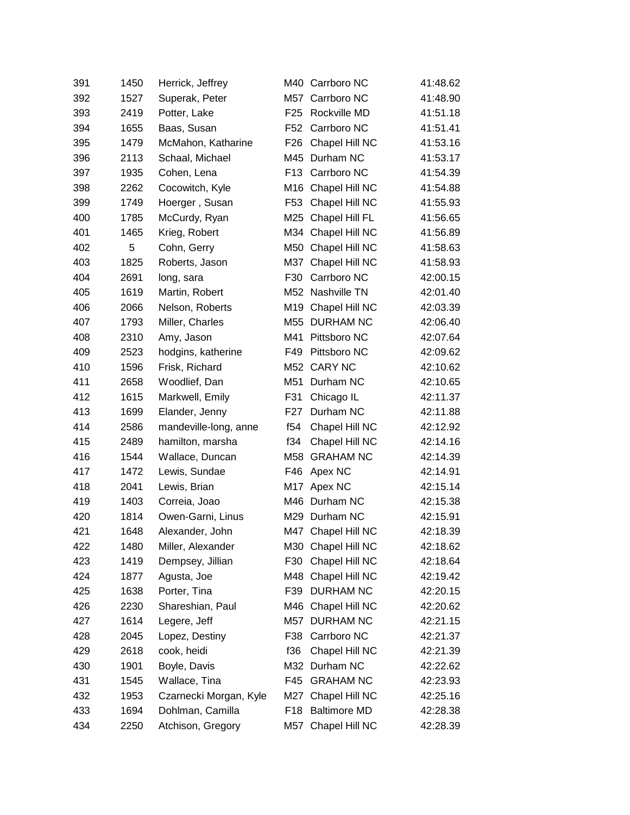| 391 | 1450 | Herrick, Jeffrey       |                 | M40 Carrboro NC     | 41:48.62 |
|-----|------|------------------------|-----------------|---------------------|----------|
| 392 | 1527 | Superak, Peter         |                 | M57 Carrboro NC     | 41:48.90 |
| 393 | 2419 | Potter, Lake           | F <sub>25</sub> | Rockville MD        | 41:51.18 |
| 394 | 1655 | Baas, Susan            | F <sub>52</sub> | Carrboro NC         | 41:51.41 |
| 395 | 1479 | McMahon, Katharine     | F <sub>26</sub> | Chapel Hill NC      | 41:53.16 |
| 396 | 2113 | Schaal, Michael        |                 | M45 Durham NC       | 41:53.17 |
| 397 | 1935 | Cohen, Lena            | F <sub>13</sub> | Carrboro NC         | 41:54.39 |
| 398 | 2262 | Cocowitch, Kyle        |                 | M16 Chapel Hill NC  | 41:54.88 |
| 399 | 1749 | Hoerger, Susan         | F <sub>53</sub> | Chapel Hill NC      | 41:55.93 |
| 400 | 1785 | McCurdy, Ryan          |                 | M25 Chapel Hill FL  | 41:56.65 |
| 401 | 1465 | Krieg, Robert          | M34             | Chapel Hill NC      | 41:56.89 |
| 402 | 5    | Cohn, Gerry            |                 | M50 Chapel Hill NC  | 41:58.63 |
| 403 | 1825 | Roberts, Jason         | M37             | Chapel Hill NC      | 41:58.93 |
| 404 | 2691 | long, sara             | F30             | Carrboro NC         | 42:00.15 |
| 405 | 1619 | Martin, Robert         |                 | M52 Nashville TN    | 42:01.40 |
| 406 | 2066 | Nelson, Roberts        | M19             | Chapel Hill NC      | 42:03.39 |
| 407 | 1793 | Miller, Charles        | M55             | <b>DURHAM NC</b>    | 42:06.40 |
| 408 | 2310 | Amy, Jason             | M41             | Pittsboro NC        | 42:07.64 |
| 409 | 2523 | hodgins, katherine     | F49             | Pittsboro NC        | 42:09.62 |
| 410 | 1596 | Frisk, Richard         |                 | M52 CARY NC         | 42:10.62 |
| 411 | 2658 | Woodlief, Dan          | M51             | Durham NC           | 42:10.65 |
| 412 | 1615 | Markwell, Emily        | F31             | Chicago IL          | 42:11.37 |
| 413 | 1699 | Elander, Jenny         | F <sub>27</sub> | Durham NC           | 42:11.88 |
| 414 | 2586 | mandeville-long, anne  | f54             | Chapel Hill NC      | 42:12.92 |
| 415 | 2489 | hamilton, marsha       | f34             | Chapel Hill NC      | 42:14.16 |
| 416 | 1544 | Wallace, Duncan        | M58             | <b>GRAHAM NC</b>    | 42:14.39 |
| 417 | 1472 | Lewis, Sundae          | F46             | Apex NC             | 42:14.91 |
| 418 | 2041 | Lewis, Brian           | M17             | Apex NC             | 42:15.14 |
| 419 | 1403 | Correia, Joao          |                 | M46 Durham NC       | 42:15.38 |
| 420 | 1814 | Owen-Garni, Linus      | M29             | Durham NC           | 42:15.91 |
| 421 | 1648 | Alexander, John        |                 | M47 Chapel Hill NC  | 42:18.39 |
| 422 | 1480 | Miller, Alexander      |                 | M30 Chapel Hill NC  | 42:18.62 |
| 423 | 1419 | Dempsey, Jillian       | F30             | Chapel Hill NC      | 42:18.64 |
| 424 | 1877 | Agusta, Joe            |                 | M48 Chapel Hill NC  | 42:19.42 |
| 425 | 1638 | Porter, Tina           | F39             | <b>DURHAM NC</b>    | 42:20.15 |
| 426 | 2230 | Shareshian, Paul       |                 | M46 Chapel Hill NC  | 42:20.62 |
| 427 | 1614 | Legere, Jeff           | M57             | <b>DURHAM NC</b>    | 42:21.15 |
| 428 | 2045 | Lopez, Destiny         | F38             | Carrboro NC         | 42:21.37 |
| 429 | 2618 | cook, heidi            | f36             | Chapel Hill NC      | 42:21.39 |
| 430 | 1901 | Boyle, Davis           | M32             | Durham NC           | 42:22.62 |
| 431 | 1545 | Wallace, Tina          | F45             | <b>GRAHAM NC</b>    | 42:23.93 |
| 432 | 1953 | Czarnecki Morgan, Kyle | M27             | Chapel Hill NC      | 42:25.16 |
| 433 | 1694 | Dohlman, Camilla       | F18             | <b>Baltimore MD</b> | 42:28.38 |
| 434 | 2250 | Atchison, Gregory      | M57             | Chapel Hill NC      | 42:28.39 |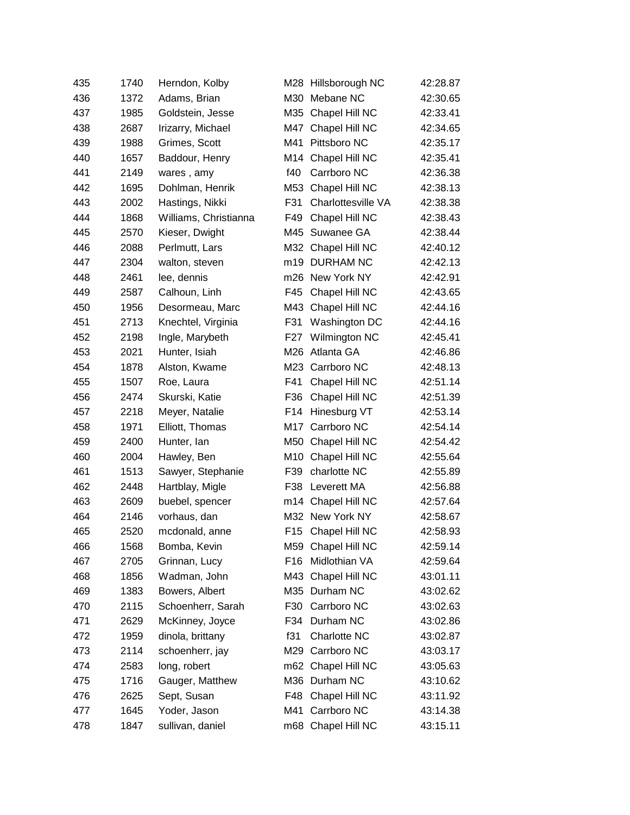| 435 | 1740 | Herndon, Kolby        |     | M28 Hillsborough NC | 42:28.87 |
|-----|------|-----------------------|-----|---------------------|----------|
| 436 | 1372 | Adams, Brian          |     | M30 Mebane NC       | 42:30.65 |
| 437 | 1985 | Goldstein, Jesse      |     | M35 Chapel Hill NC  | 42:33.41 |
| 438 | 2687 | Irizarry, Michael     | M47 | Chapel Hill NC      | 42:34.65 |
| 439 | 1988 | Grimes, Scott         | M41 | Pittsboro NC        | 42:35.17 |
| 440 | 1657 | Baddour, Henry        |     | M14 Chapel Hill NC  | 42:35.41 |
| 441 | 2149 | wares, amy            | f40 | Carrboro NC         | 42:36.38 |
| 442 | 1695 | Dohlman, Henrik       | M53 | Chapel Hill NC      | 42:38.13 |
| 443 | 2002 | Hastings, Nikki       | F31 | Charlottesville VA  | 42:38.38 |
| 444 | 1868 | Williams, Christianna | F49 | Chapel Hill NC      | 42:38.43 |
| 445 | 2570 | Kieser, Dwight        | M45 | Suwanee GA          | 42:38.44 |
| 446 | 2088 | Perlmutt, Lars        |     | M32 Chapel Hill NC  | 42:40.12 |
| 447 | 2304 | walton, steven        |     | m19 DURHAM NC       | 42:42.13 |
| 448 | 2461 | lee, dennis           |     | m26 New York NY     | 42:42.91 |
| 449 | 2587 | Calhoun, Linh         | F45 | Chapel Hill NC      | 42:43.65 |
| 450 | 1956 | Desormeau, Marc       | M43 | Chapel Hill NC      | 42:44.16 |
| 451 | 2713 | Knechtel, Virginia    | F31 | Washington DC       | 42:44.16 |
| 452 | 2198 | Ingle, Marybeth       | F27 | Wilmington NC       | 42:45.41 |
| 453 | 2021 | Hunter, Isiah         | M26 | Atlanta GA          | 42:46.86 |
| 454 | 1878 | Alston, Kwame         |     | M23 Carrboro NC     | 42:48.13 |
| 455 | 1507 | Roe, Laura            | F41 | Chapel Hill NC      | 42:51.14 |
| 456 | 2474 | Skurski, Katie        | F36 | Chapel Hill NC      | 42:51.39 |
| 457 | 2218 | Meyer, Natalie        | F14 | Hinesburg VT        | 42:53.14 |
| 458 | 1971 | Elliott, Thomas       | M17 | Carrboro NC         | 42:54.14 |
| 459 | 2400 | Hunter, Ian           |     | M50 Chapel Hill NC  | 42:54.42 |
| 460 | 2004 | Hawley, Ben           |     | M10 Chapel Hill NC  | 42:55.64 |
| 461 | 1513 | Sawyer, Stephanie     | F39 | charlotte NC        | 42:55.89 |
| 462 | 2448 | Hartblay, Migle       | F38 | Leverett MA         | 42:56.88 |
| 463 | 2609 | buebel, spencer       |     | m14 Chapel Hill NC  | 42:57.64 |
| 464 | 2146 | vorhaus, dan          |     | M32 New York NY     | 42:58.67 |
| 465 | 2520 | mcdonald, anne        |     | F15 Chapel Hill NC  | 42:58.93 |
| 466 | 1568 | Bomba, Kevin          |     | M59 Chapel Hill NC  | 42:59.14 |
| 467 | 2705 | Grinnan, Lucy         | F16 | Midlothian VA       | 42:59.64 |
| 468 | 1856 | Wadman, John          |     | M43 Chapel Hill NC  | 43:01.11 |
| 469 | 1383 | Bowers, Albert        |     | M35 Durham NC       | 43:02.62 |
| 470 | 2115 | Schoenherr, Sarah     | F30 | Carrboro NC         | 43:02.63 |
| 471 | 2629 | McKinney, Joyce       |     | F34 Durham NC       | 43:02.86 |
| 472 | 1959 | dinola, brittany      | f31 | Charlotte NC        | 43:02.87 |
| 473 | 2114 | schoenherr, jay       |     | M29 Carrboro NC     | 43:03.17 |
| 474 | 2583 | long, robert          |     | m62 Chapel Hill NC  | 43:05.63 |
| 475 | 1716 | Gauger, Matthew       |     | M36 Durham NC       | 43:10.62 |
| 476 | 2625 | Sept, Susan           | F48 | Chapel Hill NC      | 43:11.92 |
| 477 | 1645 | Yoder, Jason          |     | M41 Carrboro NC     | 43:14.38 |
| 478 | 1847 | sullivan, daniel      |     | m68 Chapel Hill NC  | 43:15.11 |
|     |      |                       |     |                     |          |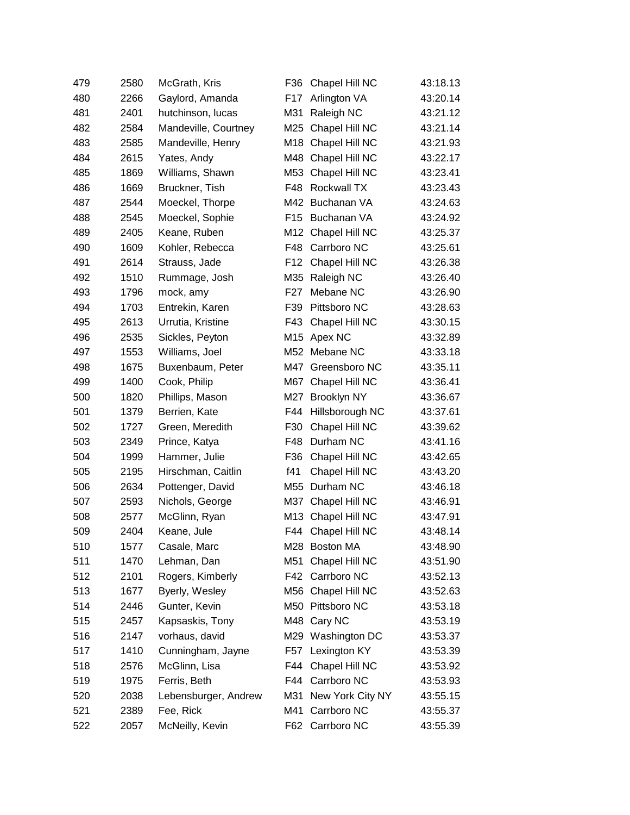| 479 | 2580 | McGrath, Kris        | F36             | Chapel Hill NC     | 43:18.13 |
|-----|------|----------------------|-----------------|--------------------|----------|
| 480 | 2266 | Gaylord, Amanda      | F17             | Arlington VA       | 43:20.14 |
| 481 | 2401 | hutchinson, lucas    | M31             | Raleigh NC         | 43:21.12 |
| 482 | 2584 | Mandeville, Courtney | M25             | Chapel Hill NC     | 43:21.14 |
| 483 | 2585 | Mandeville, Henry    | M18             | Chapel Hill NC     | 43:21.93 |
| 484 | 2615 | Yates, Andy          | M48             | Chapel Hill NC     | 43:22.17 |
| 485 | 1869 | Williams, Shawn      | M53             | Chapel Hill NC     | 43:23.41 |
| 486 | 1669 | Bruckner, Tish       | F48             | Rockwall TX        | 43:23.43 |
| 487 | 2544 | Moeckel, Thorpe      | M42             | Buchanan VA        | 43:24.63 |
| 488 | 2545 | Moeckel, Sophie      | F <sub>15</sub> | Buchanan VA        | 43:24.92 |
| 489 | 2405 | Keane, Ruben         | M12             | Chapel Hill NC     | 43:25.37 |
| 490 | 1609 | Kohler, Rebecca      | F48             | Carrboro NC        | 43:25.61 |
| 491 | 2614 | Strauss, Jade        | F <sub>12</sub> | Chapel Hill NC     | 43:26.38 |
| 492 | 1510 | Rummage, Josh        | M35             | Raleigh NC         | 43:26.40 |
| 493 | 1796 | mock, amy            | F <sub>27</sub> | Mebane NC          | 43:26.90 |
| 494 | 1703 | Entrekin, Karen      | F39             | Pittsboro NC       | 43:28.63 |
| 495 | 2613 | Urrutia, Kristine    | F43             | Chapel Hill NC     | 43:30.15 |
| 496 | 2535 | Sickles, Peyton      | M15             | Apex NC            | 43:32.89 |
| 497 | 1553 | Williams, Joel       | M52             | Mebane NC          | 43:33.18 |
| 498 | 1675 | Buxenbaum, Peter     | M47             | Greensboro NC      | 43:35.11 |
| 499 | 1400 | Cook, Philip         | M67             | Chapel Hill NC     | 43:36.41 |
| 500 | 1820 | Phillips, Mason      | M27             | <b>Brooklyn NY</b> | 43:36.67 |
| 501 | 1379 | Berrien, Kate        | F44             | Hillsborough NC    | 43:37.61 |
| 502 | 1727 | Green, Meredith      | F30             | Chapel Hill NC     | 43:39.62 |
| 503 | 2349 | Prince, Katya        | F48             | Durham NC          | 43:41.16 |
| 504 | 1999 | Hammer, Julie        | F36             | Chapel Hill NC     | 43:42.65 |
| 505 | 2195 | Hirschman, Caitlin   | f41             | Chapel Hill NC     | 43:43.20 |
| 506 | 2634 | Pottenger, David     | M55             | Durham NC          | 43:46.18 |
| 507 | 2593 | Nichols, George      | M37             | Chapel Hill NC     | 43:46.91 |
| 508 | 2577 | McGlinn, Ryan        | M13             | Chapel Hill NC     | 43:47.91 |
| 509 | 2404 | Keane, Jule          | F44             | Chapel Hill NC     | 43:48.14 |
| 510 | 1577 | Casale, Marc         |                 | M28 Boston MA      | 43:48.90 |
| 511 | 1470 | Lehman, Dan          | M51             | Chapel Hill NC     | 43:51.90 |
| 512 | 2101 | Rogers, Kimberly     |                 | F42 Carrboro NC    | 43:52.13 |
| 513 | 1677 | Byerly, Wesley       | M56             | Chapel Hill NC     | 43:52.63 |
| 514 | 2446 | Gunter, Kevin        | M50             | Pittsboro NC       | 43:53.18 |
| 515 | 2457 | Kapsaskis, Tony      |                 | M48 Cary NC        | 43:53.19 |
| 516 | 2147 | vorhaus, david       |                 | M29 Washington DC  | 43:53.37 |
| 517 | 1410 | Cunningham, Jayne    | F57             | Lexington KY       | 43:53.39 |
| 518 | 2576 | McGlinn, Lisa        | F44             | Chapel Hill NC     | 43:53.92 |
| 519 | 1975 | Ferris, Beth         |                 | F44 Carrboro NC    | 43:53.93 |
| 520 | 2038 | Lebensburger, Andrew | M31             | New York City NY   | 43:55.15 |
| 521 | 2389 | Fee, Rick            | M41             | Carrboro NC        | 43:55.37 |
| 522 | 2057 | McNeilly, Kevin      |                 | F62 Carrboro NC    | 43:55.39 |
|     |      |                      |                 |                    |          |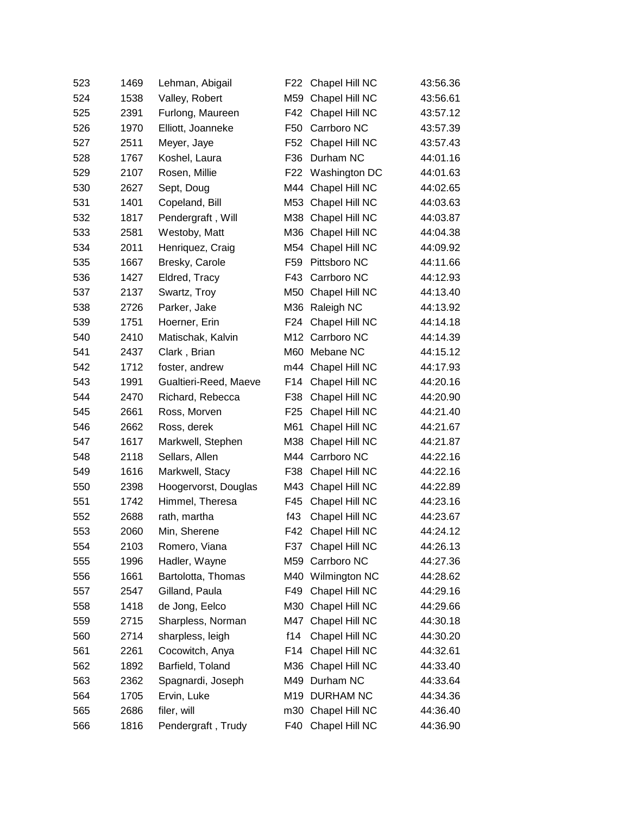| 523 | 1469 | Lehman, Abigail       | F <sub>22</sub> | Chapel Hill NC     | 43:56.36 |
|-----|------|-----------------------|-----------------|--------------------|----------|
| 524 | 1538 | Valley, Robert        | M59             | Chapel Hill NC     | 43:56.61 |
| 525 | 2391 | Furlong, Maureen      | F42             | Chapel Hill NC     | 43:57.12 |
| 526 | 1970 | Elliott, Joanneke     | F <sub>50</sub> | Carrboro NC        | 43:57.39 |
| 527 | 2511 | Meyer, Jaye           | F52             | Chapel Hill NC     | 43:57.43 |
| 528 | 1767 | Koshel, Laura         | F36             | Durham NC          | 44:01.16 |
| 529 | 2107 | Rosen, Millie         | F <sub>22</sub> | Washington DC      | 44:01.63 |
| 530 | 2627 | Sept, Doug            |                 | M44 Chapel Hill NC | 44:02.65 |
| 531 | 1401 | Copeland, Bill        | M53             | Chapel Hill NC     | 44:03.63 |
| 532 | 1817 | Pendergraft, Will     | M38             | Chapel Hill NC     | 44:03.87 |
| 533 | 2581 | Westoby, Matt         | M36             | Chapel Hill NC     | 44:04.38 |
| 534 | 2011 | Henriquez, Craig      | M54             | Chapel Hill NC     | 44:09.92 |
| 535 | 1667 | Bresky, Carole        | F59             | Pittsboro NC       | 44:11.66 |
| 536 | 1427 | Eldred, Tracy         | F43             | Carrboro NC        | 44:12.93 |
| 537 | 2137 | Swartz, Troy          | M50             | Chapel Hill NC     | 44:13.40 |
| 538 | 2726 | Parker, Jake          | M36             | Raleigh NC         | 44:13.92 |
| 539 | 1751 | Hoerner, Erin         | F24             | Chapel Hill NC     | 44:14.18 |
| 540 | 2410 | Matischak, Kalvin     |                 | M12 Carrboro NC    | 44:14.39 |
| 541 | 2437 | Clark, Brian          | M60             | Mebane NC          | 44:15.12 |
| 542 | 1712 | foster, andrew        |                 | m44 Chapel Hill NC | 44:17.93 |
| 543 | 1991 | Gualtieri-Reed, Maeve | F <sub>14</sub> | Chapel Hill NC     | 44:20.16 |
| 544 | 2470 | Richard, Rebecca      | F38             | Chapel Hill NC     | 44:20.90 |
| 545 | 2661 | Ross, Morven          | F <sub>25</sub> | Chapel Hill NC     | 44:21.40 |
| 546 | 2662 | Ross, derek           | M61             | Chapel Hill NC     | 44:21.67 |
| 547 | 1617 | Markwell, Stephen     | M38             | Chapel Hill NC     | 44:21.87 |
| 548 | 2118 | Sellars, Allen        | M44             | Carrboro NC        | 44:22.16 |
| 549 | 1616 | Markwell, Stacy       | F38             | Chapel Hill NC     | 44:22.16 |
| 550 | 2398 | Hoogervorst, Douglas  | M43             | Chapel Hill NC     | 44:22.89 |
| 551 | 1742 | Himmel, Theresa       | F45             | Chapel Hill NC     | 44:23.16 |
| 552 | 2688 | rath, martha          | f43             | Chapel Hill NC     | 44:23.67 |
| 553 | 2060 | Min, Sherene          | F42             | Chapel Hill NC     | 44:24.12 |
| 554 | 2103 | Romero, Viana         | F37             | Chapel Hill NC     | 44:26.13 |
| 555 | 1996 | Hadler, Wayne         | M59             | Carrboro NC        | 44:27.36 |
| 556 | 1661 | Bartolotta, Thomas    |                 | M40 Wilmington NC  | 44:28.62 |
| 557 | 2547 | Gilland, Paula        | F49             | Chapel Hill NC     | 44:29.16 |
| 558 | 1418 | de Jong, Eelco        | M30             | Chapel Hill NC     | 44:29.66 |
| 559 | 2715 | Sharpless, Norman     | M47             | Chapel Hill NC     | 44:30.18 |
| 560 | 2714 | sharpless, leigh      | f14             | Chapel Hill NC     | 44:30.20 |
| 561 | 2261 | Cocowitch, Anya       | F14             | Chapel Hill NC     | 44:32.61 |
| 562 | 1892 | Barfield, Toland      | M36             | Chapel Hill NC     | 44:33.40 |
| 563 | 2362 | Spagnardi, Joseph     | M49             | Durham NC          | 44:33.64 |
| 564 | 1705 | Ervin, Luke           |                 | M19 DURHAM NC      | 44:34.36 |
| 565 | 2686 | filer, will           | m30             | Chapel Hill NC     | 44:36.40 |
| 566 | 1816 | Pendergraft, Trudy    | F40             | Chapel Hill NC     | 44:36.90 |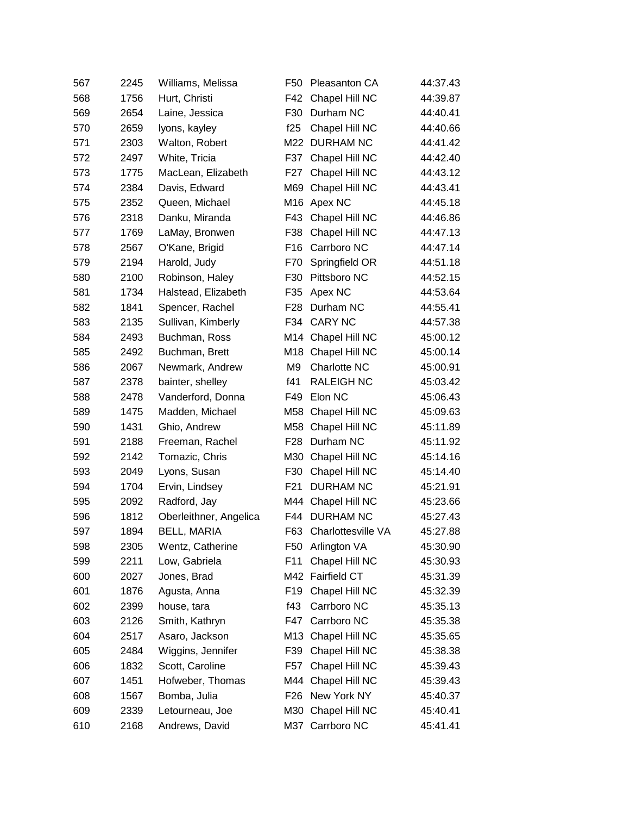| 567 | 2245 | Williams, Melissa      | F <sub>50</sub> | Pleasanton CA      | 44:37.43 |
|-----|------|------------------------|-----------------|--------------------|----------|
| 568 | 1756 | Hurt, Christi          | F42             | Chapel Hill NC     | 44:39.87 |
| 569 | 2654 | Laine, Jessica         | F30             | Durham NC          | 44:40.41 |
| 570 | 2659 | lyons, kayley          | f25             | Chapel Hill NC     | 44:40.66 |
| 571 | 2303 | Walton, Robert         | M22             | <b>DURHAM NC</b>   | 44:41.42 |
| 572 | 2497 | White, Tricia          | F37             | Chapel Hill NC     | 44:42.40 |
| 573 | 1775 | MacLean, Elizabeth     | F27             | Chapel Hill NC     | 44:43.12 |
| 574 | 2384 | Davis, Edward          | M69             | Chapel Hill NC     | 44:43.41 |
| 575 | 2352 | Queen, Michael         |                 | M16 Apex NC        | 44:45.18 |
| 576 | 2318 | Danku, Miranda         | F43             | Chapel Hill NC     | 44:46.86 |
| 577 | 1769 | LaMay, Bronwen         | F38             | Chapel Hill NC     | 44:47.13 |
| 578 | 2567 | O'Kane, Brigid         | F <sub>16</sub> | Carrboro NC        | 44:47.14 |
| 579 | 2194 | Harold, Judy           | F70             | Springfield OR     | 44:51.18 |
| 580 | 2100 | Robinson, Haley        | F30             | Pittsboro NC       | 44:52.15 |
| 581 | 1734 | Halstead, Elizabeth    | F35             | Apex NC            | 44:53.64 |
| 582 | 1841 | Spencer, Rachel        | F <sub>28</sub> | Durham NC          | 44:55.41 |
| 583 | 2135 | Sullivan, Kimberly     | F34             | <b>CARY NC</b>     | 44:57.38 |
| 584 | 2493 | Buchman, Ross          | M14             | Chapel Hill NC     | 45:00.12 |
| 585 | 2492 | Buchman, Brett         | M18             | Chapel Hill NC     | 45:00.14 |
| 586 | 2067 | Newmark, Andrew        | M <sub>9</sub>  | Charlotte NC       | 45:00.91 |
| 587 | 2378 | bainter, shelley       | f41             | <b>RALEIGH NC</b>  | 45:03.42 |
| 588 | 2478 | Vanderford, Donna      | F49             | Elon NC            | 45:06.43 |
| 589 | 1475 | Madden, Michael        | M58             | Chapel Hill NC     | 45:09.63 |
| 590 | 1431 | Ghio, Andrew           | M58             | Chapel Hill NC     | 45:11.89 |
| 591 | 2188 | Freeman, Rachel        | F <sub>28</sub> | Durham NC          | 45:11.92 |
| 592 | 2142 | Tomazic, Chris         | M30             | Chapel Hill NC     | 45:14.16 |
| 593 | 2049 | Lyons, Susan           | F30             | Chapel Hill NC     | 45:14.40 |
| 594 | 1704 | Ervin, Lindsey         | F <sub>21</sub> | <b>DURHAM NC</b>   | 45:21.91 |
| 595 | 2092 | Radford, Jay           | M44             | Chapel Hill NC     | 45:23.66 |
| 596 | 1812 | Oberleithner, Angelica | F44             | <b>DURHAM NC</b>   | 45:27.43 |
| 597 | 1894 | <b>BELL, MARIA</b>     | F63             | Charlottesville VA | 45:27.88 |
| 598 | 2305 | Wentz, Catherine       | F50             | Arlington VA       | 45:30.90 |
| 599 | 2211 | Low, Gabriela          | F11             | Chapel Hill NC     | 45:30.93 |
| 600 | 2027 | Jones, Brad            |                 | M42 Fairfield CT   | 45:31.39 |
| 601 | 1876 | Agusta, Anna           | F <sub>19</sub> | Chapel Hill NC     | 45:32.39 |
| 602 | 2399 | house, tara            | f43             | Carrboro NC        | 45:35.13 |
| 603 | 2126 | Smith, Kathryn         | F47             | Carrboro NC        | 45:35.38 |
| 604 | 2517 | Asaro, Jackson         | M <sub>13</sub> | Chapel Hill NC     | 45:35.65 |
| 605 | 2484 | Wiggins, Jennifer      | F39             | Chapel Hill NC     | 45:38.38 |
| 606 | 1832 | Scott, Caroline        | F <sub>57</sub> | Chapel Hill NC     | 45:39.43 |
| 607 | 1451 | Hofweber, Thomas       | M44             | Chapel Hill NC     | 45:39.43 |
| 608 | 1567 | Bomba, Julia           | F <sub>26</sub> | New York NY        | 45:40.37 |
| 609 | 2339 | Letourneau, Joe        | M30             | Chapel Hill NC     | 45:40.41 |
| 610 | 2168 | Andrews, David         |                 | M37 Carrboro NC    | 45:41.41 |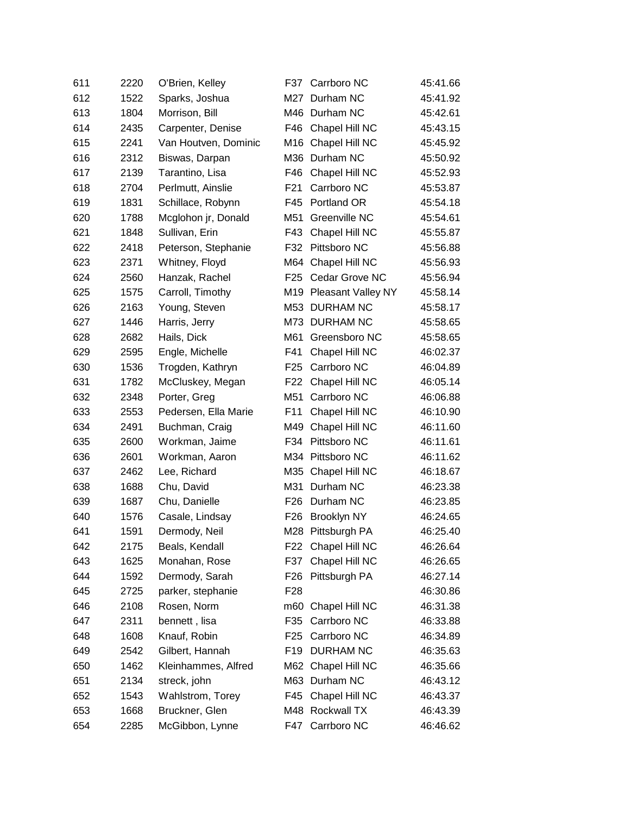| 611 | 2220 | O'Brien, Kelley      | F37             | Carrboro NC            | 45:41.66 |
|-----|------|----------------------|-----------------|------------------------|----------|
| 612 | 1522 | Sparks, Joshua       | M27             | Durham NC              | 45:41.92 |
| 613 | 1804 | Morrison, Bill       |                 | M46 Durham NC          | 45:42.61 |
| 614 | 2435 | Carpenter, Denise    | F46             | Chapel Hill NC         | 45:43.15 |
| 615 | 2241 | Van Houtven, Dominic | M16             | Chapel Hill NC         | 45:45.92 |
| 616 | 2312 | Biswas, Darpan       | M36             | Durham NC              | 45:50.92 |
| 617 | 2139 | Tarantino, Lisa      | F46             | Chapel Hill NC         | 45:52.93 |
| 618 | 2704 | Perlmutt, Ainslie    | F <sub>21</sub> | Carrboro NC            | 45:53.87 |
| 619 | 1831 | Schillace, Robynn    | F45             | Portland OR            | 45:54.18 |
| 620 | 1788 | Mcglohon jr, Donald  | M51             | Greenville NC          | 45:54.61 |
| 621 | 1848 | Sullivan, Erin       | F43             | Chapel Hill NC         | 45:55.87 |
| 622 | 2418 | Peterson, Stephanie  | F32             | Pittsboro NC           | 45:56.88 |
| 623 | 2371 | Whitney, Floyd       | M64             | Chapel Hill NC         | 45:56.93 |
| 624 | 2560 | Hanzak, Rachel       | F <sub>25</sub> | Cedar Grove NC         | 45:56.94 |
| 625 | 1575 | Carroll, Timothy     |                 | M19 Pleasant Valley NY | 45:58.14 |
| 626 | 2163 | Young, Steven        | M53             | DURHAM NC              | 45:58.17 |
| 627 | 1446 | Harris, Jerry        | M73             | <b>DURHAM NC</b>       | 45:58.65 |
| 628 | 2682 | Hails, Dick          | M61             | Greensboro NC          | 45:58.65 |
| 629 | 2595 | Engle, Michelle      | F41             | Chapel Hill NC         | 46:02.37 |
| 630 | 1536 | Trogden, Kathryn     | F <sub>25</sub> | Carrboro NC            | 46:04.89 |
| 631 | 1782 | McCluskey, Megan     | F <sub>22</sub> | Chapel Hill NC         | 46:05.14 |
| 632 | 2348 | Porter, Greg         | M51             | Carrboro NC            | 46:06.88 |
| 633 | 2553 | Pedersen, Ella Marie | F11             | Chapel Hill NC         | 46:10.90 |
| 634 | 2491 | Buchman, Craig       | M49             | Chapel Hill NC         | 46:11.60 |
| 635 | 2600 | Workman, Jaime       | F34             | Pittsboro NC           | 46:11.61 |
| 636 | 2601 | Workman, Aaron       |                 | M34 Pittsboro NC       | 46:11.62 |
| 637 | 2462 | Lee, Richard         | M35             | Chapel Hill NC         | 46:18.67 |
| 638 | 1688 | Chu, David           | M31             | Durham NC              | 46:23.38 |
| 639 | 1687 | Chu, Danielle        | F <sub>26</sub> | Durham NC              | 46:23.85 |
| 640 | 1576 | Casale, Lindsay      | F <sub>26</sub> | <b>Brooklyn NY</b>     | 46:24.65 |
| 641 | 1591 | Dermody, Neil        |                 | M28 Pittsburgh PA      | 46:25.40 |
| 642 | 2175 | Beals, Kendall       |                 | F22 Chapel Hill NC     | 46:26.64 |
| 643 | 1625 | Monahan, Rose        | F37             | Chapel Hill NC         | 46:26.65 |
| 644 | 1592 | Dermody, Sarah       | F <sub>26</sub> | Pittsburgh PA          | 46:27.14 |
| 645 | 2725 | parker, stephanie    | F <sub>28</sub> |                        | 46:30.86 |
| 646 | 2108 | Rosen, Norm          | m60             | Chapel Hill NC         | 46:31.38 |
| 647 | 2311 | bennett, lisa        | F35             | Carrboro NC            | 46:33.88 |
| 648 | 1608 | Knauf, Robin         | F <sub>25</sub> | Carrboro NC            | 46:34.89 |
| 649 | 2542 | Gilbert, Hannah      | F <sub>19</sub> | <b>DURHAM NC</b>       | 46:35.63 |
| 650 | 1462 | Kleinhammes, Alfred  | M62             | Chapel Hill NC         | 46:35.66 |
| 651 | 2134 | streck, john         |                 | M63 Durham NC          | 46:43.12 |
| 652 | 1543 | Wahlstrom, Torey     | F45             | Chapel Hill NC         | 46:43.37 |
| 653 | 1668 | Bruckner, Glen       |                 | M48 Rockwall TX        | 46:43.39 |
| 654 | 2285 | McGibbon, Lynne      | F47             | Carrboro NC            | 46:46.62 |
|     |      |                      |                 |                        |          |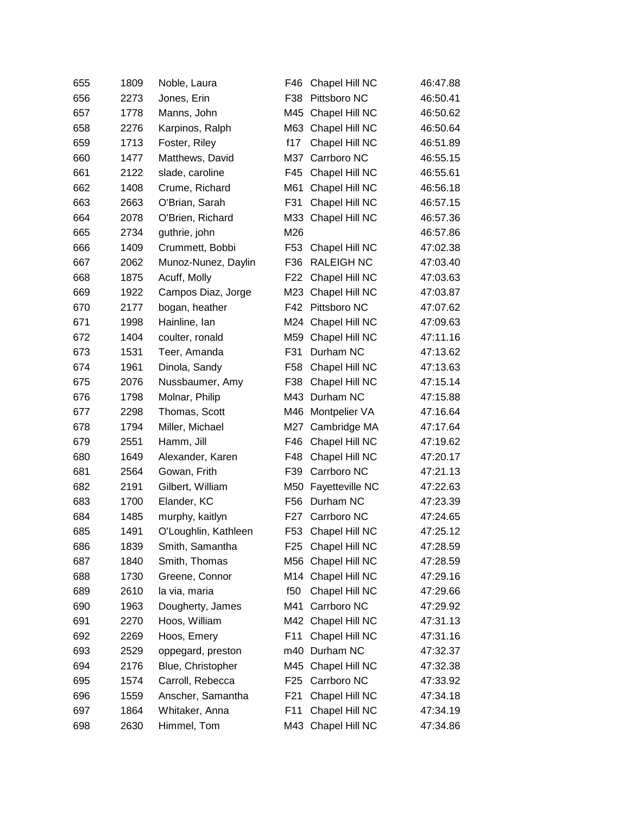| 655 | 1809 | Noble, Laura         | F46             | Chapel Hill NC     | 46:47.88 |
|-----|------|----------------------|-----------------|--------------------|----------|
| 656 | 2273 | Jones, Erin          | F38             | Pittsboro NC       | 46:50.41 |
| 657 | 1778 | Manns, John          |                 | M45 Chapel Hill NC | 46:50.62 |
| 658 | 2276 | Karpinos, Ralph      | M63             | Chapel Hill NC     | 46:50.64 |
| 659 | 1713 | Foster, Riley        | f17             | Chapel Hill NC     | 46:51.89 |
| 660 | 1477 | Matthews, David      |                 | M37 Carrboro NC    | 46:55.15 |
| 661 | 2122 | slade, caroline      | F45             | Chapel Hill NC     | 46:55.61 |
| 662 | 1408 | Crume, Richard       | M61             | Chapel Hill NC     | 46:56.18 |
| 663 | 2663 | O'Brian, Sarah       | F31             | Chapel Hill NC     | 46:57.15 |
| 664 | 2078 | O'Brien, Richard     | M33             | Chapel Hill NC     | 46:57.36 |
| 665 | 2734 | guthrie, john        | M26             |                    | 46:57.86 |
| 666 | 1409 | Crummett, Bobbi      | F53             | Chapel Hill NC     | 47:02.38 |
| 667 | 2062 | Munoz-Nunez, Daylin  | F36             | <b>RALEIGH NC</b>  | 47:03.40 |
| 668 | 1875 | Acuff, Molly         | F22             | Chapel Hill NC     | 47:03.63 |
| 669 | 1922 | Campos Diaz, Jorge   |                 | M23 Chapel Hill NC | 47:03.87 |
| 670 | 2177 | bogan, heather       | F42             | Pittsboro NC       | 47:07.62 |
| 671 | 1998 | Hainline, Ian        |                 | M24 Chapel Hill NC | 47:09.63 |
| 672 | 1404 | coulter, ronald      | M59             | Chapel Hill NC     | 47:11.16 |
| 673 | 1531 | Teer, Amanda         | F31             | Durham NC          | 47:13.62 |
| 674 | 1961 | Dinola, Sandy        | F58             | Chapel Hill NC     | 47:13.63 |
| 675 | 2076 | Nussbaumer, Amy      | F38             | Chapel Hill NC     | 47:15.14 |
| 676 | 1798 | Molnar, Philip       |                 | M43 Durham NC      | 47:15.88 |
| 677 | 2298 | Thomas, Scott        | M46             | Montpelier VA      | 47:16.64 |
| 678 | 1794 | Miller, Michael      | M27             | Cambridge MA       | 47:17.64 |
| 679 | 2551 | Hamm, Jill           | F46             | Chapel Hill NC     | 47:19.62 |
| 680 | 1649 | Alexander, Karen     | F48             | Chapel Hill NC     | 47:20.17 |
| 681 | 2564 | Gowan, Frith         | F39             | Carrboro NC        | 47:21.13 |
| 682 | 2191 | Gilbert, William     | M50             | Fayetteville NC    | 47:22.63 |
| 683 | 1700 | Elander, KC          | F <sub>56</sub> | Durham NC          | 47:23.39 |
| 684 | 1485 | murphy, kaitlyn      | F27             | Carrboro NC        | 47:24.65 |
| 685 | 1491 | O'Loughlin, Kathleen | F53             | Chapel Hill NC     | 47:25.12 |
| 686 | 1839 | Smith, Samantha      |                 | F25 Chapel Hill NC | 47:28.59 |
| 687 | 1840 | Smith, Thomas        |                 | M56 Chapel Hill NC | 47:28.59 |
| 688 | 1730 | Greene, Connor       |                 | M14 Chapel Hill NC | 47:29.16 |
| 689 | 2610 | la via, maria        | f50             | Chapel Hill NC     | 47:29.66 |
| 690 | 1963 | Dougherty, James     | M41             | Carrboro NC        | 47:29.92 |
| 691 | 2270 | Hoos, William        |                 | M42 Chapel Hill NC | 47:31.13 |
| 692 | 2269 | Hoos, Emery          | F11             | Chapel Hill NC     | 47:31.16 |
| 693 | 2529 | oppegard, preston    |                 | m40 Durham NC      | 47:32.37 |
| 694 | 2176 | Blue, Christopher    |                 | M45 Chapel Hill NC | 47:32.38 |
| 695 | 1574 | Carroll, Rebecca     | F <sub>25</sub> | Carrboro NC        | 47:33.92 |
| 696 | 1559 | Anscher, Samantha    | F21             | Chapel Hill NC     | 47:34.18 |
| 697 | 1864 | Whitaker, Anna       | F11             | Chapel Hill NC     | 47:34.19 |
| 698 | 2630 | Himmel, Tom          |                 | M43 Chapel Hill NC | 47:34.86 |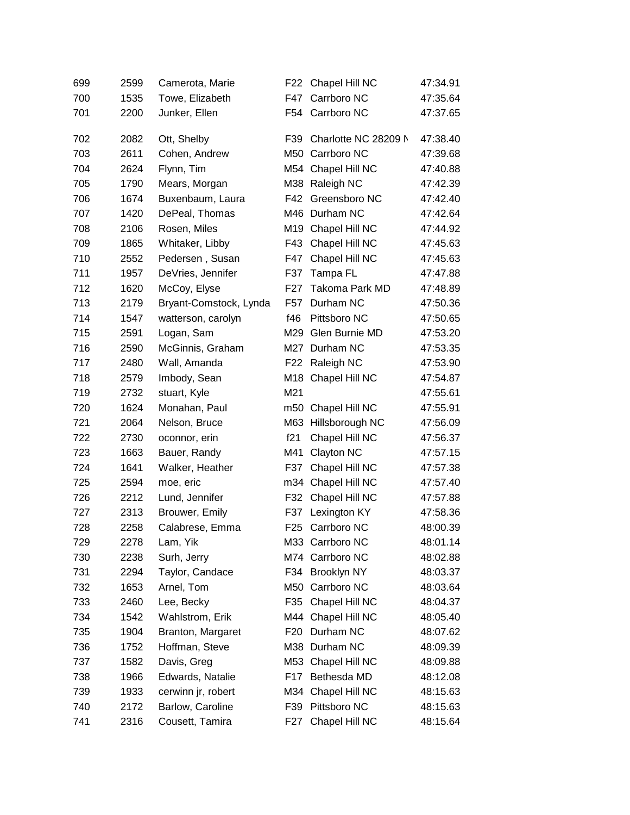| 699 | 2599 | Camerota, Marie        | F22              | Chapel Hill NC       | 47:34.91 |
|-----|------|------------------------|------------------|----------------------|----------|
| 700 | 1535 | Towe, Elizabeth        | F47              | Carrboro NC          | 47:35.64 |
| 701 | 2200 | Junker, Ellen          |                  | F54 Carrboro NC      | 47:37.65 |
| 702 | 2082 | Ott, Shelby            | F39              | Charlotte NC 28209 N | 47:38.40 |
| 703 | 2611 | Cohen, Andrew          |                  | M50 Carrboro NC      | 47:39.68 |
| 704 | 2624 | Flynn, Tim             |                  | M54 Chapel Hill NC   | 47:40.88 |
| 705 | 1790 | Mears, Morgan          | M38              | Raleigh NC           | 47:42.39 |
| 706 | 1674 | Buxenbaum, Laura       | F42              | Greensboro NC        | 47:42.40 |
| 707 | 1420 | DePeal, Thomas         | M46              | Durham NC            | 47:42.64 |
| 708 | 2106 | Rosen, Miles           |                  | M19 Chapel Hill NC   | 47:44.92 |
| 709 | 1865 | Whitaker, Libby        | F43              | Chapel Hill NC       | 47:45.63 |
| 710 | 2552 | Pedersen, Susan        | F47              | Chapel Hill NC       | 47:45.63 |
| 711 | 1957 | DeVries, Jennifer      | F37              | Tampa FL             | 47:47.88 |
| 712 | 1620 | McCoy, Elyse           | F <sub>2</sub> 7 | Takoma Park MD       | 47:48.89 |
| 713 | 2179 | Bryant-Comstock, Lynda | F57              | Durham NC            | 47:50.36 |
| 714 | 1547 | watterson, carolyn     | f46              | Pittsboro NC         | 47:50.65 |
| 715 | 2591 | Logan, Sam             | M29              | Glen Burnie MD       | 47:53.20 |
| 716 | 2590 | McGinnis, Graham       | M27              | Durham NC            | 47:53.35 |
| 717 | 2480 | Wall, Amanda           | F <sub>22</sub>  | Raleigh NC           | 47:53.90 |
| 718 | 2579 | Imbody, Sean           |                  | M18 Chapel Hill NC   | 47:54.87 |
| 719 | 2732 | stuart, Kyle           | M21              |                      | 47:55.61 |
| 720 | 1624 | Monahan, Paul          |                  | m50 Chapel Hill NC   | 47:55.91 |
| 721 | 2064 | Nelson, Bruce          | M63              | Hillsborough NC      | 47:56.09 |
| 722 | 2730 | oconnor, erin          | f21              | Chapel Hill NC       | 47:56.37 |
| 723 | 1663 | Bauer, Randy           | M41              | Clayton NC           | 47:57.15 |
| 724 | 1641 | Walker, Heather        | F37              | Chapel Hill NC       | 47:57.38 |
| 725 | 2594 | moe, eric              |                  | m34 Chapel Hill NC   | 47:57.40 |
| 726 | 2212 | Lund, Jennifer         | F32              | Chapel Hill NC       | 47:57.88 |
| 727 | 2313 | Brouwer, Emily         | F37              | Lexington KY         | 47:58.36 |
| 728 | 2258 | Calabrese, Emma        |                  | F25 Carrboro NC      | 48:00.39 |
| 729 | 2278 | Lam, Yik               |                  | M33 Carrboro NC      | 48:01.14 |
| 730 | 2238 | Surh, Jerry            |                  | M74 Carrboro NC      | 48:02.88 |
| 731 | 2294 | Taylor, Candace        |                  | F34 Brooklyn NY      | 48:03.37 |
| 732 | 1653 | Arnel, Tom             |                  | M50 Carrboro NC      | 48:03.64 |
| 733 | 2460 | Lee, Becky             | F35              | Chapel Hill NC       | 48:04.37 |
| 734 | 1542 | Wahlstrom, Erik        |                  | M44 Chapel Hill NC   | 48:05.40 |
| 735 | 1904 | Branton, Margaret      | F20              | Durham NC            | 48:07.62 |
| 736 | 1752 | Hoffman, Steve         |                  | M38 Durham NC        | 48:09.39 |
| 737 | 1582 | Davis, Greg            |                  | M53 Chapel Hill NC   | 48:09.88 |
| 738 | 1966 | Edwards, Natalie       | F17              | Bethesda MD          | 48:12.08 |
| 739 | 1933 | cerwinn jr, robert     |                  | M34 Chapel Hill NC   | 48:15.63 |
| 740 | 2172 | Barlow, Caroline       | F39              | Pittsboro NC         | 48:15.63 |
| 741 | 2316 | Cousett, Tamira        |                  | F27 Chapel Hill NC   | 48:15.64 |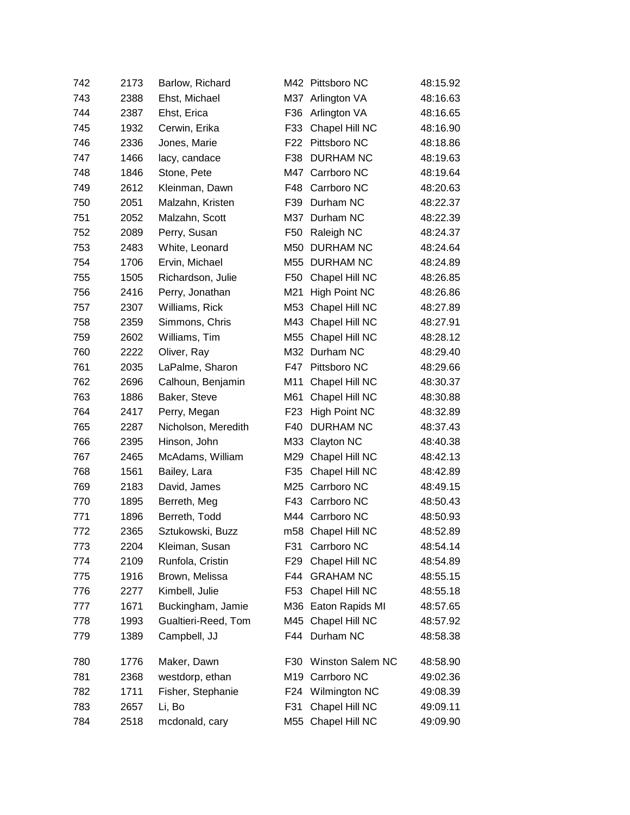| 742 | 2173 | Barlow, Richard     |                 | M42 Pittsboro NC        | 48:15.92 |
|-----|------|---------------------|-----------------|-------------------------|----------|
| 743 | 2388 | Ehst, Michael       | M37             | Arlington VA            | 48:16.63 |
| 744 | 2387 | Ehst, Erica         | F36             | Arlington VA            | 48:16.65 |
| 745 | 1932 | Cerwin, Erika       | F33             | Chapel Hill NC          | 48:16.90 |
| 746 | 2336 | Jones, Marie        | F <sub>22</sub> | Pittsboro NC            | 48:18.86 |
| 747 | 1466 | lacy, candace       | F38             | <b>DURHAM NC</b>        | 48:19.63 |
| 748 | 1846 | Stone, Pete         | M47             | Carrboro NC             | 48:19.64 |
| 749 | 2612 | Kleinman, Dawn      | F48             | Carrboro NC             | 48:20.63 |
| 750 | 2051 | Malzahn, Kristen    | F39             | Durham NC               | 48:22.37 |
| 751 | 2052 | Malzahn, Scott      | M37             | Durham NC               | 48:22.39 |
| 752 | 2089 | Perry, Susan        | F <sub>50</sub> | Raleigh NC              | 48:24.37 |
| 753 | 2483 | White, Leonard      | M50             | <b>DURHAM NC</b>        | 48:24.64 |
| 754 | 1706 | Ervin, Michael      | M55             | <b>DURHAM NC</b>        | 48:24.89 |
| 755 | 1505 | Richardson, Julie   | F50             | Chapel Hill NC          | 48:26.85 |
| 756 | 2416 | Perry, Jonathan     | M21             | <b>High Point NC</b>    | 48:26.86 |
| 757 | 2307 | Williams, Rick      | M53             | Chapel Hill NC          | 48:27.89 |
| 758 | 2359 | Simmons, Chris      | M43             | Chapel Hill NC          | 48:27.91 |
| 759 | 2602 | Williams, Tim       | M55             | Chapel Hill NC          | 48:28.12 |
| 760 | 2222 | Oliver, Ray         |                 | M32 Durham NC           | 48:29.40 |
| 761 | 2035 | LaPalme, Sharon     | F47             | Pittsboro NC            | 48:29.66 |
| 762 | 2696 | Calhoun, Benjamin   | M11             | Chapel Hill NC          | 48:30.37 |
| 763 | 1886 | Baker, Steve        | M61             | Chapel Hill NC          | 48:30.88 |
| 764 | 2417 | Perry, Megan        | F <sub>23</sub> | <b>High Point NC</b>    | 48:32.89 |
| 765 | 2287 | Nicholson, Meredith | F40             | <b>DURHAM NC</b>        | 48:37.43 |
| 766 | 2395 | Hinson, John        | M33             | Clayton NC              | 48:40.38 |
| 767 | 2465 | McAdams, William    | M29             | Chapel Hill NC          | 48:42.13 |
| 768 | 1561 | Bailey, Lara        | F35             | Chapel Hill NC          | 48:42.89 |
| 769 | 2183 | David, James        | M25             | Carrboro NC             | 48:49.15 |
| 770 | 1895 | Berreth, Meg        | F43             | Carrboro NC             | 48:50.43 |
| 771 | 1896 | Berreth, Todd       | M44             | Carrboro NC             | 48:50.93 |
| 772 | 2365 | Sztukowski, Buzz    |                 | m58 Chapel Hill NC      | 48:52.89 |
| 773 | 2204 | Kleiman, Susan      | F31             | Carrboro NC             | 48:54.14 |
| 774 | 2109 | Runfola, Cristin    | F <sub>29</sub> | Chapel Hill NC          | 48:54.89 |
| 775 | 1916 | Brown, Melissa      | F44             | <b>GRAHAM NC</b>        | 48:55.15 |
| 776 | 2277 | Kimbell, Julie      | F53             | Chapel Hill NC          | 48:55.18 |
| 777 | 1671 | Buckingham, Jamie   |                 | M36 Eaton Rapids MI     | 48:57.65 |
| 778 | 1993 | Gualtieri-Reed, Tom | M45             | Chapel Hill NC          | 48:57.92 |
| 779 | 1389 | Campbell, JJ        | F44             | Durham NC               | 48:58.38 |
| 780 | 1776 | Maker, Dawn         | F30             | <b>Winston Salem NC</b> | 48:58.90 |
| 781 | 2368 | westdorp, ethan     | M19             | Carrboro NC             | 49:02.36 |
| 782 | 1711 | Fisher, Stephanie   | F24             | Wilmington NC           | 49:08.39 |
| 783 | 2657 | Li, Bo              | F31             | Chapel Hill NC          | 49:09.11 |
| 784 | 2518 | mcdonald, cary      | M55             | Chapel Hill NC          | 49:09.90 |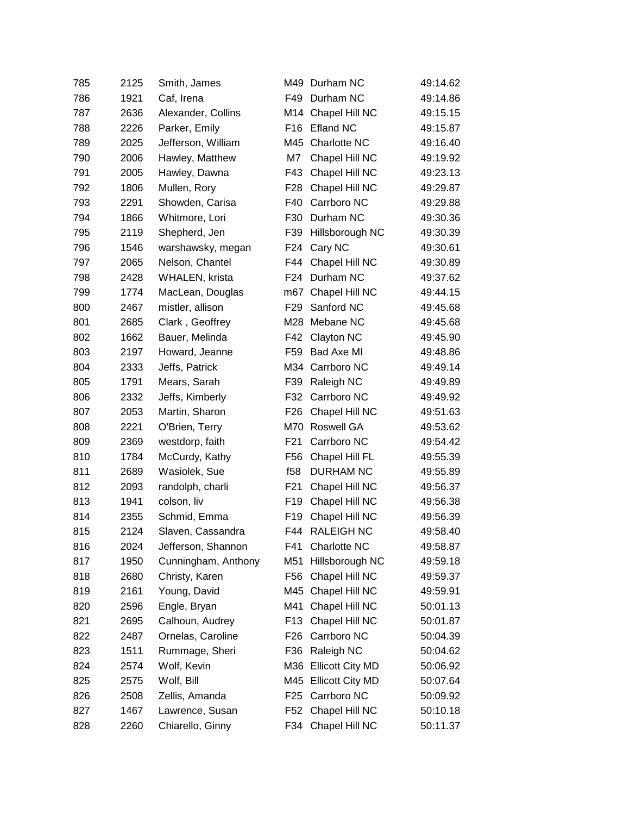| 785 | 2125 | Smith, James        | M49             | Durham NC            | 49:14.62 |
|-----|------|---------------------|-----------------|----------------------|----------|
| 786 | 1921 | Caf, Irena          | F49             | Durham NC            | 49:14.86 |
| 787 | 2636 | Alexander, Collins  |                 | M14 Chapel Hill NC   | 49:15.15 |
| 788 | 2226 | Parker, Emily       | F <sub>16</sub> | <b>Efland NC</b>     | 49:15.87 |
| 789 | 2025 | Jefferson, William  | M45             | Charlotte NC         | 49:16.40 |
| 790 | 2006 | Hawley, Matthew     | M7              | Chapel Hill NC       | 49:19.92 |
| 791 | 2005 | Hawley, Dawna       | F43             | Chapel Hill NC       | 49:23.13 |
| 792 | 1806 | Mullen, Rory        | F28             | Chapel Hill NC       | 49:29.87 |
| 793 | 2291 | Showden, Carisa     | F40             | Carrboro NC          | 49:29.88 |
| 794 | 1866 | Whitmore, Lori      | F30             | Durham NC            | 49:30.36 |
| 795 | 2119 | Shepherd, Jen       | F39             | Hillsborough NC      | 49:30.39 |
| 796 | 1546 | warshawsky, megan   | F24             | Cary NC              | 49:30.61 |
| 797 | 2065 | Nelson, Chantel     | F44             | Chapel Hill NC       | 49:30.89 |
| 798 | 2428 | WHALEN, krista      | F <sub>24</sub> | Durham NC            | 49:37.62 |
| 799 | 1774 | MacLean, Douglas    | m67             | Chapel Hill NC       | 49:44.15 |
| 800 | 2467 | mistler, allison    | F <sub>29</sub> | Sanford NC           | 49:45.68 |
| 801 | 2685 | Clark, Geoffrey     | M28             | Mebane NC            | 49:45.68 |
| 802 | 1662 | Bauer, Melinda      | F42             | Clayton NC           | 49:45.90 |
| 803 | 2197 | Howard, Jeanne      | F59             | Bad Axe MI           | 49:48.86 |
| 804 | 2333 | Jeffs, Patrick      |                 | M34 Carrboro NC      | 49:49.14 |
| 805 | 1791 | Mears, Sarah        | F39             | Raleigh NC           | 49:49.89 |
| 806 | 2332 | Jeffs, Kimberly     | F32             | Carrboro NC          | 49:49.92 |
| 807 | 2053 | Martin, Sharon      | F <sub>26</sub> | Chapel Hill NC       | 49:51.63 |
| 808 | 2221 | O'Brien, Terry      | M70             | Roswell GA           | 49:53.62 |
| 809 | 2369 | westdorp, faith     | F <sub>21</sub> | Carrboro NC          | 49:54.42 |
| 810 | 1784 | McCurdy, Kathy      | F56             | Chapel Hill FL       | 49:55.39 |
| 811 | 2689 | Wasiolek, Sue       | f58             | <b>DURHAM NC</b>     | 49:55.89 |
| 812 | 2093 | randolph, charli    | F <sub>21</sub> | Chapel Hill NC       | 49:56.37 |
| 813 | 1941 | colson, liv         | F <sub>19</sub> | Chapel Hill NC       | 49:56.38 |
| 814 | 2355 | Schmid, Emma        | F <sub>19</sub> | Chapel Hill NC       | 49:56.39 |
| 815 | 2124 | Slaven, Cassandra   |                 | F44 RALEIGH NC       | 49:58.40 |
| 816 | 2024 | Jefferson, Shannon  | F41             | Charlotte NC         | 49:58.87 |
| 817 | 1950 | Cunningham, Anthony | M51             | Hillsborough NC      | 49:59.18 |
| 818 | 2680 | Christy, Karen      | F56             | Chapel Hill NC       | 49:59.37 |
| 819 | 2161 | Young, David        | M45             | Chapel Hill NC       | 49:59.91 |
| 820 | 2596 | Engle, Bryan        | M41             | Chapel Hill NC       | 50:01.13 |
| 821 | 2695 | Calhoun, Audrey     | F13             | Chapel Hill NC       | 50:01.87 |
| 822 | 2487 | Ornelas, Caroline   | F <sub>26</sub> | Carrboro NC          | 50:04.39 |
| 823 | 1511 | Rummage, Sheri      | F36             | Raleigh NC           | 50:04.62 |
| 824 | 2574 | Wolf, Kevin         |                 | M36 Ellicott City MD | 50:06.92 |
| 825 | 2575 | Wolf, Bill          |                 | M45 Ellicott City MD | 50:07.64 |
| 826 | 2508 | Zellis, Amanda      | F <sub>25</sub> | Carrboro NC          | 50:09.92 |
| 827 | 1467 | Lawrence, Susan     | F52             | Chapel Hill NC       | 50:10.18 |
| 828 | 2260 | Chiarello, Ginny    |                 | F34 Chapel Hill NC   | 50:11.37 |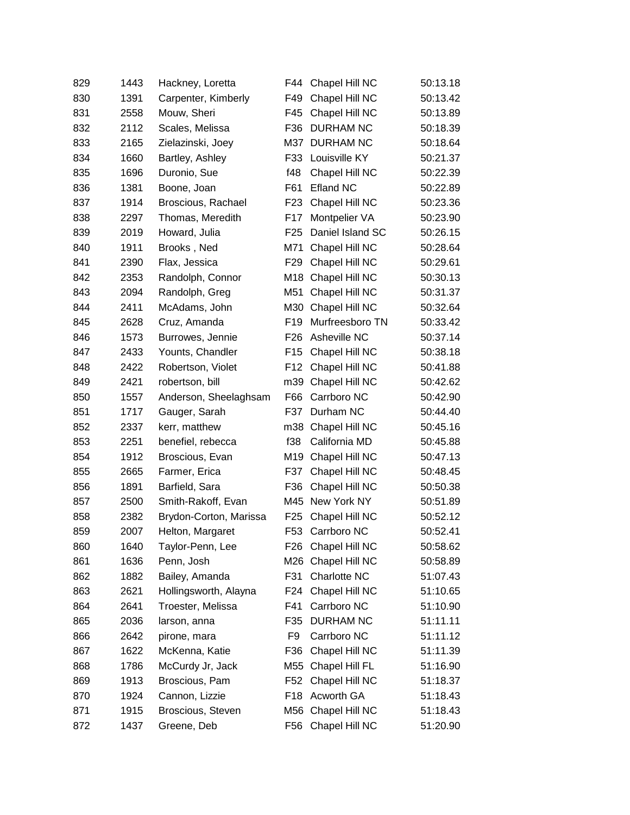| 829 | 1443 | Hackney, Loretta       | F44             | Chapel Hill NC     | 50:13.18 |
|-----|------|------------------------|-----------------|--------------------|----------|
| 830 | 1391 | Carpenter, Kimberly    | F49             | Chapel Hill NC     | 50:13.42 |
| 831 | 2558 | Mouw, Sheri            | F45             | Chapel Hill NC     | 50:13.89 |
| 832 | 2112 | Scales, Melissa        | F36             | <b>DURHAM NC</b>   | 50:18.39 |
| 833 | 2165 | Zielazinski, Joey      | M37             | <b>DURHAM NC</b>   | 50:18.64 |
| 834 | 1660 | Bartley, Ashley        | F33             | Louisville KY      | 50:21.37 |
| 835 | 1696 | Duronio, Sue           | f48             | Chapel Hill NC     | 50:22.39 |
| 836 | 1381 | Boone, Joan            | F61             | <b>Efland NC</b>   | 50:22.89 |
| 837 | 1914 | Broscious, Rachael     | F <sub>23</sub> | Chapel Hill NC     | 50:23.36 |
| 838 | 2297 | Thomas, Meredith       | F17             | Montpelier VA      | 50:23.90 |
| 839 | 2019 | Howard, Julia          | F <sub>25</sub> | Daniel Island SC   | 50:26.15 |
| 840 | 1911 | Brooks, Ned            | M71             | Chapel Hill NC     | 50:28.64 |
| 841 | 2390 | Flax, Jessica          | F <sub>29</sub> | Chapel Hill NC     | 50:29.61 |
| 842 | 2353 | Randolph, Connor       | M18             | Chapel Hill NC     | 50:30.13 |
| 843 | 2094 | Randolph, Greg         | M51             | Chapel Hill NC     | 50:31.37 |
| 844 | 2411 | McAdams, John          | M30             | Chapel Hill NC     | 50:32.64 |
| 845 | 2628 | Cruz, Amanda           | F <sub>19</sub> | Murfreesboro TN    | 50:33.42 |
| 846 | 1573 | Burrowes, Jennie       | F <sub>26</sub> | Asheville NC       | 50:37.14 |
| 847 | 2433 | Younts, Chandler       | F <sub>15</sub> | Chapel Hill NC     | 50:38.18 |
| 848 | 2422 | Robertson, Violet      | F12             | Chapel Hill NC     | 50:41.88 |
| 849 | 2421 | robertson, bill        | m39             | Chapel Hill NC     | 50:42.62 |
| 850 | 1557 | Anderson, Sheelaghsam  | F66             | Carrboro NC        | 50:42.90 |
| 851 | 1717 | Gauger, Sarah          | F37             | Durham NC          | 50:44.40 |
| 852 | 2337 | kerr, matthew          | m38             | Chapel Hill NC     | 50:45.16 |
| 853 | 2251 | benefiel, rebecca      | f38             | California MD      | 50:45.88 |
| 854 | 1912 | Broscious, Evan        | M19             | Chapel Hill NC     | 50:47.13 |
| 855 | 2665 | Farmer, Erica          | F37             | Chapel Hill NC     | 50:48.45 |
| 856 | 1891 | Barfield, Sara         | F36             | Chapel Hill NC     | 50:50.38 |
| 857 | 2500 | Smith-Rakoff, Evan     | M45             | New York NY        | 50:51.89 |
| 858 | 2382 | Brydon-Corton, Marissa | F <sub>25</sub> | Chapel Hill NC     | 50:52.12 |
| 859 | 2007 | Helton, Margaret       | F53             | Carrboro NC        | 50:52.41 |
| 860 | 1640 | Taylor-Penn, Lee       |                 | F26 Chapel Hill NC | 50:58.62 |
| 861 | 1636 | Penn, Josh             | M26             | Chapel Hill NC     | 50:58.89 |
| 862 | 1882 | Bailey, Amanda         | F31             | Charlotte NC       | 51:07.43 |
| 863 | 2621 | Hollingsworth, Alayna  | F24             | Chapel Hill NC     | 51:10.65 |
| 864 | 2641 | Troester, Melissa      | F41             | Carrboro NC        | 51:10.90 |
| 865 | 2036 | larson, anna           | F35             | DURHAM NC          | 51:11.11 |
| 866 | 2642 | pirone, mara           | F9              | Carrboro NC        | 51:11.12 |
| 867 | 1622 | McKenna, Katie         | F36             | Chapel Hill NC     | 51:11.39 |
| 868 | 1786 | McCurdy Jr, Jack       | M55             | Chapel Hill FL     | 51:16.90 |
| 869 | 1913 | Broscious, Pam         | F52             | Chapel Hill NC     | 51:18.37 |
| 870 | 1924 | Cannon, Lizzie         | F18             | Acworth GA         | 51:18.43 |
| 871 | 1915 | Broscious, Steven      |                 | M56 Chapel Hill NC | 51:18.43 |
| 872 | 1437 | Greene, Deb            |                 | F56 Chapel Hill NC | 51:20.90 |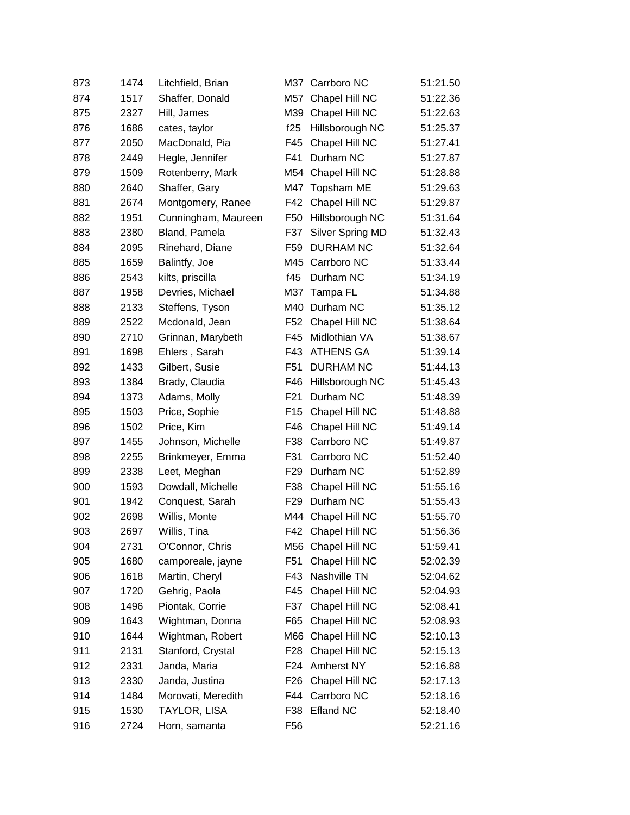| 873 | 1474 | Litchfield, Brian   |                 | M37 Carrboro NC    | 51:21.50 |
|-----|------|---------------------|-----------------|--------------------|----------|
| 874 | 1517 | Shaffer, Donald     | M57             | Chapel Hill NC     | 51:22.36 |
| 875 | 2327 | Hill, James         | M39             | Chapel Hill NC     | 51:22.63 |
| 876 | 1686 | cates, taylor       | f25             | Hillsborough NC    | 51:25.37 |
| 877 | 2050 | MacDonald, Pia      | F45             | Chapel Hill NC     | 51:27.41 |
| 878 | 2449 | Hegle, Jennifer     | F41             | Durham NC          | 51:27.87 |
| 879 | 1509 | Rotenberry, Mark    | M54             | Chapel Hill NC     | 51:28.88 |
| 880 | 2640 | Shaffer, Gary       | M47             | Topsham ME         | 51:29.63 |
| 881 | 2674 | Montgomery, Ranee   | F42             | Chapel Hill NC     | 51:29.87 |
| 882 | 1951 | Cunningham, Maureen | F <sub>50</sub> | Hillsborough NC    | 51:31.64 |
| 883 | 2380 | Bland, Pamela       | F37             | Silver Spring MD   | 51:32.43 |
| 884 | 2095 | Rinehard, Diane     | F59             | <b>DURHAM NC</b>   | 51:32.64 |
| 885 | 1659 | Balintfy, Joe       | M45             | Carrboro NC        | 51:33.44 |
| 886 | 2543 | kilts, priscilla    | f45             | Durham NC          | 51:34.19 |
| 887 | 1958 | Devries, Michael    |                 | M37 Tampa FL       | 51:34.88 |
| 888 | 2133 | Steffens, Tyson     | M40             | Durham NC          | 51:35.12 |
| 889 | 2522 | Mcdonald, Jean      | F <sub>52</sub> | Chapel Hill NC     | 51:38.64 |
| 890 | 2710 | Grinnan, Marybeth   | F45             | Midlothian VA      | 51:38.67 |
| 891 | 1698 | Ehlers, Sarah       | F43             | <b>ATHENS GA</b>   | 51:39.14 |
| 892 | 1433 | Gilbert, Susie      | F <sub>51</sub> | <b>DURHAM NC</b>   | 51:44.13 |
| 893 | 1384 | Brady, Claudia      | F46             | Hillsborough NC    | 51:45.43 |
| 894 | 1373 | Adams, Molly        | F <sub>21</sub> | Durham NC          | 51:48.39 |
| 895 | 1503 | Price, Sophie       | F <sub>15</sub> | Chapel Hill NC     | 51:48.88 |
| 896 | 1502 | Price, Kim          | F46             | Chapel Hill NC     | 51:49.14 |
| 897 | 1455 | Johnson, Michelle   | F38             | Carrboro NC        | 51:49.87 |
| 898 | 2255 | Brinkmeyer, Emma    | F31             | Carrboro NC        | 51:52.40 |
| 899 | 2338 | Leet, Meghan        | F <sub>29</sub> | Durham NC          | 51:52.89 |
| 900 | 1593 | Dowdall, Michelle   | F38             | Chapel Hill NC     | 51:55.16 |
| 901 | 1942 | Conquest, Sarah     | F <sub>29</sub> | Durham NC          | 51:55.43 |
| 902 | 2698 | Willis, Monte       | M44             | Chapel Hill NC     | 51:55.70 |
| 903 | 2697 | Willis, Tina        |                 | F42 Chapel Hill NC | 51:56.36 |
| 904 | 2731 | O'Connor, Chris     |                 | M56 Chapel Hill NC | 51:59.41 |
| 905 | 1680 | camporeale, jayne   | F <sub>51</sub> | Chapel Hill NC     | 52:02.39 |
| 906 | 1618 | Martin, Cheryl      | F43             | Nashville TN       | 52:04.62 |
| 907 | 1720 | Gehrig, Paola       | F45             | Chapel Hill NC     | 52:04.93 |
| 908 | 1496 | Piontak, Corrie     | F37             | Chapel Hill NC     | 52:08.41 |
| 909 | 1643 | Wightman, Donna     | F65             | Chapel Hill NC     | 52:08.93 |
| 910 | 1644 | Wightman, Robert    | M66             | Chapel Hill NC     | 52:10.13 |
| 911 | 2131 | Stanford, Crystal   | F <sub>28</sub> | Chapel Hill NC     | 52:15.13 |
| 912 | 2331 | Janda, Maria        | F24             | Amherst NY         | 52:16.88 |
| 913 | 2330 | Janda, Justina      | F <sub>26</sub> | Chapel Hill NC     | 52:17.13 |
| 914 | 1484 | Morovati, Meredith  | F44             | Carrboro NC        | 52:18.16 |
| 915 | 1530 | TAYLOR, LISA        | F38             | <b>Efland NC</b>   | 52:18.40 |
| 916 | 2724 | Horn, samanta       | F56             |                    | 52:21.16 |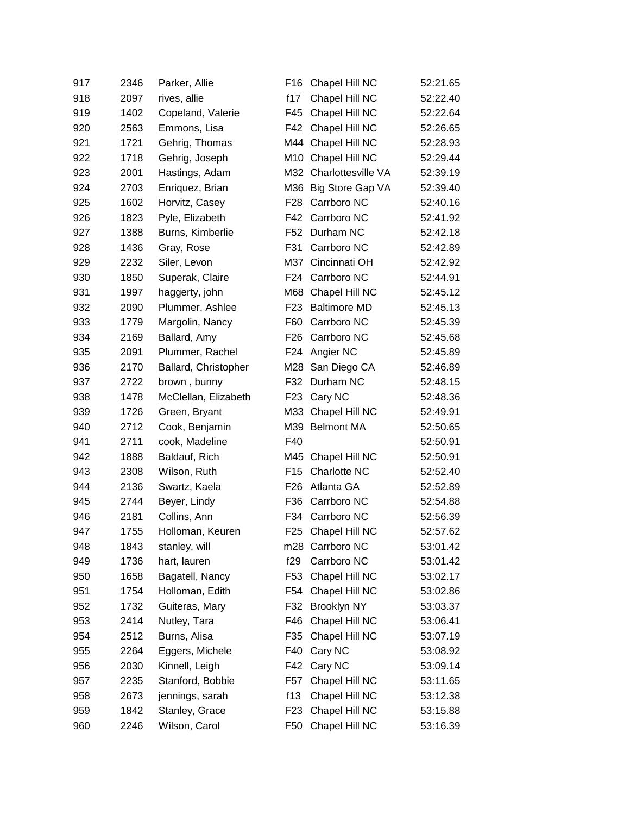| 917 | 2346 | Parker, Allie        | F16             | Chapel Hill NC       | 52:21.65 |
|-----|------|----------------------|-----------------|----------------------|----------|
| 918 | 2097 | rives, allie         | f17             | Chapel Hill NC       | 52:22.40 |
| 919 | 1402 | Copeland, Valerie    | F45             | Chapel Hill NC       | 52:22.64 |
| 920 | 2563 | Emmons, Lisa         | F42             | Chapel Hill NC       | 52:26.65 |
| 921 | 1721 | Gehrig, Thomas       | M44             | Chapel Hill NC       | 52:28.93 |
| 922 | 1718 | Gehrig, Joseph       |                 | M10 Chapel Hill NC   | 52:29.44 |
| 923 | 2001 | Hastings, Adam       | M32             | Charlottesville VA   | 52:39.19 |
| 924 | 2703 | Enriquez, Brian      |                 | M36 Big Store Gap VA | 52:39.40 |
| 925 | 1602 | Horvitz, Casey       | F <sub>28</sub> | Carrboro NC          | 52:40.16 |
| 926 | 1823 | Pyle, Elizabeth      | F42             | Carrboro NC          | 52:41.92 |
| 927 | 1388 | Burns, Kimberlie     | F <sub>52</sub> | Durham NC            | 52:42.18 |
| 928 | 1436 | Gray, Rose           | F31             | Carrboro NC          | 52:42.89 |
| 929 | 2232 | Siler, Levon         | M37             | Cincinnati OH        | 52:42.92 |
| 930 | 1850 | Superak, Claire      | F <sub>24</sub> | Carrboro NC          | 52:44.91 |
| 931 | 1997 | haggerty, john       |                 | M68 Chapel Hill NC   | 52:45.12 |
| 932 | 2090 | Plummer, Ashlee      | F <sub>23</sub> | <b>Baltimore MD</b>  | 52:45.13 |
| 933 | 1779 | Margolin, Nancy      | F60             | Carrboro NC          | 52:45.39 |
| 934 | 2169 | Ballard, Amy         | F <sub>26</sub> | Carrboro NC          | 52:45.68 |
| 935 | 2091 | Plummer, Rachel      | F <sub>24</sub> | Angier NC            | 52:45.89 |
| 936 | 2170 | Ballard, Christopher | M28             | San Diego CA         | 52:46.89 |
| 937 | 2722 | brown, bunny         | F32             | Durham NC            | 52:48.15 |
| 938 | 1478 | McClellan, Elizabeth | F <sub>23</sub> | Cary NC              | 52:48.36 |
| 939 | 1726 | Green, Bryant        | M33             | Chapel Hill NC       | 52:49.91 |
| 940 | 2712 | Cook, Benjamin       | M39             | <b>Belmont MA</b>    | 52:50.65 |
| 941 | 2711 | cook, Madeline       | F40             |                      | 52:50.91 |
| 942 | 1888 | Baldauf, Rich        | M45             | Chapel Hill NC       | 52:50.91 |
| 943 | 2308 | Wilson, Ruth         | F <sub>15</sub> | Charlotte NC         | 52:52.40 |
| 944 | 2136 | Swartz, Kaela        | F <sub>26</sub> | Atlanta GA           | 52:52.89 |
| 945 | 2744 | Beyer, Lindy         | F36             | Carrboro NC          | 52:54.88 |
| 946 | 2181 | Collins, Ann         | F34             | Carrboro NC          | 52:56.39 |
| 947 | 1755 | Holloman, Keuren     | F25             | Chapel Hill NC       | 52:57.62 |
| 948 | 1843 | stanley, will        |                 | m28 Carrboro NC      | 53:01.42 |
| 949 | 1736 | hart, lauren         | f29             | Carrboro NC          | 53:01.42 |
| 950 | 1658 | Bagatell, Nancy      | F53             | Chapel Hill NC       | 53:02.17 |
| 951 | 1754 | Holloman, Edith      | F54             | Chapel Hill NC       | 53:02.86 |
| 952 | 1732 | Guiteras, Mary       | F32             | Brooklyn NY          | 53:03.37 |
| 953 | 2414 | Nutley, Tara         | F46             | Chapel Hill NC       | 53:06.41 |
| 954 | 2512 | Burns, Alisa         | F35             | Chapel Hill NC       | 53:07.19 |
| 955 | 2264 | Eggers, Michele      | F40             | Cary NC              | 53:08.92 |
| 956 | 2030 | Kinnell, Leigh       | F42             | Cary NC              | 53:09.14 |
| 957 | 2235 | Stanford, Bobbie     | F57             | Chapel Hill NC       | 53:11.65 |
| 958 | 2673 | jennings, sarah      | f13             | Chapel Hill NC       | 53:12.38 |
| 959 | 1842 | Stanley, Grace       | F <sub>23</sub> | Chapel Hill NC       | 53:15.88 |
| 960 | 2246 | Wilson, Carol        | F <sub>50</sub> | Chapel Hill NC       | 53:16.39 |
|     |      |                      |                 |                      |          |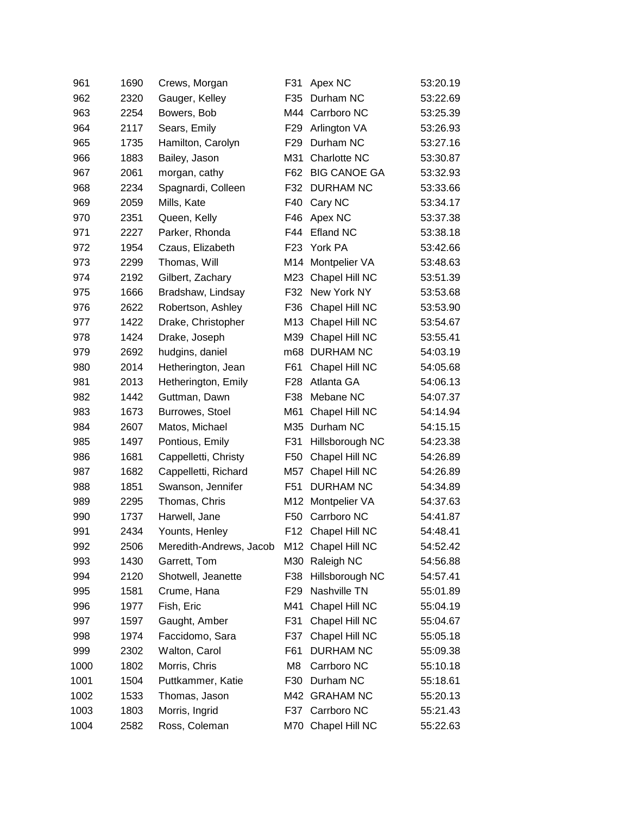| 961  | 1690 | Crews, Morgan           | F31             | Apex NC             | 53:20.19 |
|------|------|-------------------------|-----------------|---------------------|----------|
| 962  | 2320 | Gauger, Kelley          | F35             | Durham NC           | 53:22.69 |
| 963  | 2254 | Bowers, Bob             | M44             | Carrboro NC         | 53:25.39 |
| 964  | 2117 | Sears, Emily            | F <sub>29</sub> | Arlington VA        | 53:26.93 |
| 965  | 1735 | Hamilton, Carolyn       | F <sub>29</sub> | Durham NC           | 53:27.16 |
| 966  | 1883 | Bailey, Jason           | M31             | Charlotte NC        | 53:30.87 |
| 967  | 2061 | morgan, cathy           | F62             | <b>BIG CANOE GA</b> | 53:32.93 |
| 968  | 2234 | Spagnardi, Colleen      | F32             | <b>DURHAM NC</b>    | 53:33.66 |
| 969  | 2059 | Mills, Kate             | F40             | Cary NC             | 53:34.17 |
| 970  | 2351 | Queen, Kelly            | F46             | Apex NC             | 53:37.38 |
| 971  | 2227 | Parker, Rhonda          | F44             | Efland NC           | 53:38.18 |
| 972  | 1954 | Czaus, Elizabeth        | F <sub>23</sub> | York PA             | 53:42.66 |
| 973  | 2299 | Thomas, Will            | M14             | Montpelier VA       | 53:48.63 |
| 974  | 2192 | Gilbert, Zachary        | M23             | Chapel Hill NC      | 53:51.39 |
| 975  | 1666 | Bradshaw, Lindsay       | F32             | New York NY         | 53:53.68 |
| 976  | 2622 | Robertson, Ashley       | F36             | Chapel Hill NC      | 53:53.90 |
| 977  | 1422 | Drake, Christopher      | M13             | Chapel Hill NC      | 53:54.67 |
| 978  | 1424 | Drake, Joseph           | M39             | Chapel Hill NC      | 53:55.41 |
| 979  | 2692 | hudgins, daniel         | m68             | <b>DURHAM NC</b>    | 54:03.19 |
| 980  | 2014 | Hetherington, Jean      | F61             | Chapel Hill NC      | 54:05.68 |
| 981  | 2013 | Hetherington, Emily     | F28             | Atlanta GA          | 54:06.13 |
| 982  | 1442 | Guttman, Dawn           | F38             | Mebane NC           | 54:07.37 |
| 983  | 1673 | Burrowes, Stoel         | M61             | Chapel Hill NC      | 54:14.94 |
| 984  | 2607 | Matos, Michael          | M35             | Durham NC           | 54:15.15 |
| 985  | 1497 | Pontious, Emily         | F31             | Hillsborough NC     | 54:23.38 |
| 986  | 1681 | Cappelletti, Christy    | F <sub>50</sub> | Chapel Hill NC      | 54:26.89 |
| 987  | 1682 | Cappelletti, Richard    | M57             | Chapel Hill NC      | 54:26.89 |
| 988  | 1851 | Swanson, Jennifer       | F <sub>51</sub> | <b>DURHAM NC</b>    | 54:34.89 |
| 989  | 2295 | Thomas, Chris           | M12             | Montpelier VA       | 54:37.63 |
| 990  | 1737 | Harwell, Jane           | F <sub>50</sub> | Carrboro NC         | 54:41.87 |
| 991  | 2434 | Younts, Henley          | F12             | Chapel Hill NC      | 54:48.41 |
| 992  | 2506 | Meredith-Andrews, Jacob |                 | M12 Chapel Hill NC  | 54:52.42 |
| 993  | 1430 | Garrett, Tom            | M30             | Raleigh NC          | 54:56.88 |
| 994  | 2120 | Shotwell, Jeanette      | F38             | Hillsborough NC     | 54:57.41 |
| 995  | 1581 | Crume, Hana             | F <sub>29</sub> | Nashville TN        | 55:01.89 |
| 996  | 1977 | Fish, Eric              | M41             | Chapel Hill NC      | 55:04.19 |
| 997  | 1597 | Gaught, Amber           | F31             | Chapel Hill NC      | 55:04.67 |
| 998  | 1974 | Faccidomo, Sara         | F37             | Chapel Hill NC      | 55:05.18 |
| 999  | 2302 | Walton, Carol           | F61             | <b>DURHAM NC</b>    | 55:09.38 |
| 1000 | 1802 | Morris, Chris           | M8              | Carrboro NC         | 55:10.18 |
| 1001 | 1504 | Puttkammer, Katie       | F30             | Durham NC           | 55:18.61 |
| 1002 | 1533 | Thomas, Jason           | M42             | <b>GRAHAM NC</b>    | 55:20.13 |
| 1003 | 1803 | Morris, Ingrid          |                 | F37 Carrboro NC     | 55:21.43 |
| 1004 | 2582 | Ross, Coleman           |                 | M70 Chapel Hill NC  | 55:22.63 |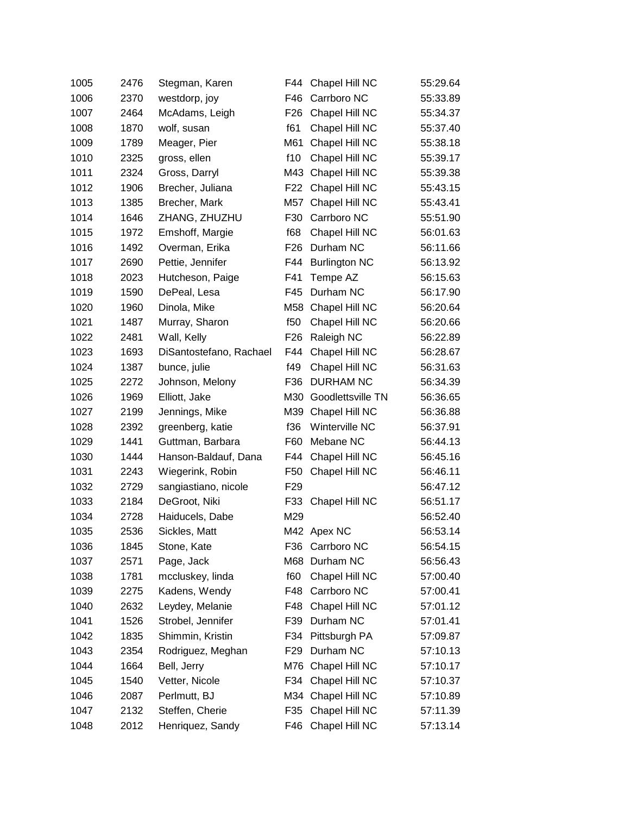| 1005 | 2476 | Stegman, Karen          | F44             | Chapel Hill NC       | 55:29.64 |
|------|------|-------------------------|-----------------|----------------------|----------|
| 1006 | 2370 | westdorp, joy           | F46             | Carrboro NC          | 55:33.89 |
| 1007 | 2464 | McAdams, Leigh          | F <sub>26</sub> | Chapel Hill NC       | 55:34.37 |
| 1008 | 1870 | wolf, susan             | f61             | Chapel Hill NC       | 55:37.40 |
| 1009 | 1789 | Meager, Pier            | M61             | Chapel Hill NC       | 55:38.18 |
| 1010 | 2325 | gross, ellen            | f10             | Chapel Hill NC       | 55:39.17 |
| 1011 | 2324 | Gross, Darryl           | M43             | Chapel Hill NC       | 55:39.38 |
| 1012 | 1906 | Brecher, Juliana        | F <sub>22</sub> | Chapel Hill NC       | 55:43.15 |
| 1013 | 1385 | Brecher, Mark           | M57             | Chapel Hill NC       | 55:43.41 |
| 1014 | 1646 | ZHANG, ZHUZHU           | F30             | Carrboro NC          | 55:51.90 |
| 1015 | 1972 | Emshoff, Margie         | f68             | Chapel Hill NC       | 56:01.63 |
| 1016 | 1492 | Overman, Erika          | F <sub>26</sub> | Durham NC            | 56:11.66 |
| 1017 | 2690 | Pettie, Jennifer        | F44             | <b>Burlington NC</b> | 56:13.92 |
| 1018 | 2023 | Hutcheson, Paige        | F41             | Tempe AZ             | 56:15.63 |
| 1019 | 1590 | DePeal, Lesa            | F45             | Durham NC            | 56:17.90 |
| 1020 | 1960 | Dinola, Mike            | M58             | Chapel Hill NC       | 56:20.64 |
| 1021 | 1487 | Murray, Sharon          | f50             | Chapel Hill NC       | 56:20.66 |
| 1022 | 2481 | Wall, Kelly             | F <sub>26</sub> | Raleigh NC           | 56:22.89 |
| 1023 | 1693 | DiSantostefano, Rachael | F44             | Chapel Hill NC       | 56:28.67 |
| 1024 | 1387 | bunce, julie            | f49             | Chapel Hill NC       | 56:31.63 |
| 1025 | 2272 | Johnson, Melony         | F36             | <b>DURHAM NC</b>     | 56:34.39 |
| 1026 | 1969 | Elliott, Jake           | M30             | Goodlettsville TN    | 56:36.65 |
| 1027 | 2199 | Jennings, Mike          | M39             | Chapel Hill NC       | 56:36.88 |
| 1028 | 2392 | greenberg, katie        | f36             | Winterville NC       | 56:37.91 |
| 1029 | 1441 | Guttman, Barbara        | F60             | Mebane NC            | 56:44.13 |
| 1030 | 1444 | Hanson-Baldauf, Dana    | F44             | Chapel Hill NC       | 56:45.16 |
| 1031 | 2243 | Wiegerink, Robin        | F50             | Chapel Hill NC       | 56:46.11 |
| 1032 | 2729 | sangiastiano, nicole    | F <sub>29</sub> |                      | 56:47.12 |
| 1033 | 2184 | DeGroot, Niki           | F33             | Chapel Hill NC       | 56:51.17 |
| 1034 | 2728 | Haiducels, Dabe         | M29             |                      | 56:52.40 |
| 1035 | 2536 | Sickles, Matt           |                 | M42 Apex NC          | 56:53.14 |
| 1036 | 1845 | Stone, Kate             | F36             | Carrboro NC          | 56:54.15 |
| 1037 | 2571 | Page, Jack              | M68             | Durham NC            | 56:56.43 |
| 1038 | 1781 | mccluskey, linda        | f60             | Chapel Hill NC       | 57:00.40 |
| 1039 | 2275 | Kadens, Wendy           | F48             | Carrboro NC          | 57:00.41 |
| 1040 | 2632 | Leydey, Melanie         | F48             | Chapel Hill NC       | 57:01.12 |
| 1041 | 1526 | Strobel, Jennifer       | F39             | Durham NC            | 57:01.41 |
| 1042 | 1835 | Shimmin, Kristin        | F34             | Pittsburgh PA        | 57:09.87 |
| 1043 | 2354 | Rodriguez, Meghan       | F <sub>29</sub> | Durham NC            | 57:10.13 |
| 1044 | 1664 | Bell, Jerry             | M76             | Chapel Hill NC       | 57:10.17 |
| 1045 | 1540 | Vetter, Nicole          | F34             | Chapel Hill NC       | 57:10.37 |
| 1046 | 2087 | Perlmutt, BJ            | M34             | Chapel Hill NC       | 57:10.89 |
| 1047 | 2132 | Steffen, Cherie         | F35             | Chapel Hill NC       | 57:11.39 |
| 1048 | 2012 | Henriquez, Sandy        | F46             | Chapel Hill NC       | 57:13.14 |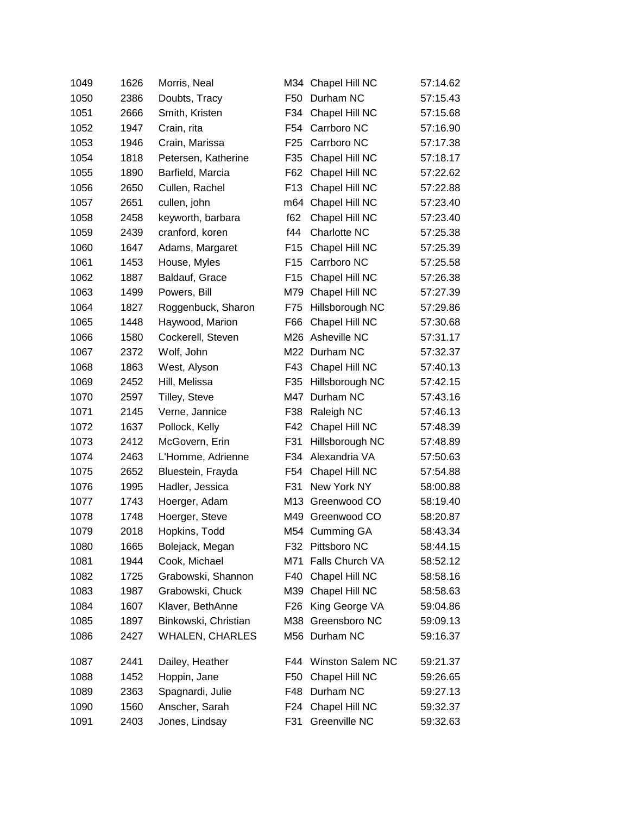| 1049 | 1626 | Morris, Neal           | M34             | Chapel Hill NC          | 57:14.62 |
|------|------|------------------------|-----------------|-------------------------|----------|
| 1050 | 2386 | Doubts, Tracy          | F <sub>50</sub> | Durham NC               | 57:15.43 |
| 1051 | 2666 | Smith, Kristen         | F34             | Chapel Hill NC          | 57:15.68 |
| 1052 | 1947 | Crain, rita            | F54             | Carrboro NC             | 57:16.90 |
| 1053 | 1946 | Crain, Marissa         | F <sub>25</sub> | Carrboro NC             | 57:17.38 |
| 1054 | 1818 | Petersen, Katherine    | F35             | Chapel Hill NC          | 57:18.17 |
| 1055 | 1890 | Barfield, Marcia       | F62             | Chapel Hill NC          | 57:22.62 |
| 1056 | 2650 | Cullen, Rachel         | F <sub>13</sub> | Chapel Hill NC          | 57:22.88 |
| 1057 | 2651 | cullen, john           | m64             | Chapel Hill NC          | 57:23.40 |
| 1058 | 2458 | keyworth, barbara      | f62             | Chapel Hill NC          | 57:23.40 |
| 1059 | 2439 | cranford, koren        | f44             | Charlotte NC            | 57:25.38 |
| 1060 | 1647 | Adams, Margaret        | F <sub>15</sub> | Chapel Hill NC          | 57:25.39 |
| 1061 | 1453 | House, Myles           | F <sub>15</sub> | Carrboro NC             | 57:25.58 |
| 1062 | 1887 | Baldauf, Grace         | F <sub>15</sub> | Chapel Hill NC          | 57:26.38 |
| 1063 | 1499 | Powers, Bill           | M79             | Chapel Hill NC          | 57:27.39 |
| 1064 | 1827 | Roggenbuck, Sharon     | F75             | Hillsborough NC         | 57:29.86 |
| 1065 | 1448 | Haywood, Marion        | F66             | Chapel Hill NC          | 57:30.68 |
| 1066 | 1580 | Cockerell, Steven      | M26             | Asheville NC            | 57:31.17 |
| 1067 | 2372 | Wolf, John             | M22             | Durham NC               | 57:32.37 |
| 1068 | 1863 | West, Alyson           | F43             | Chapel Hill NC          | 57:40.13 |
| 1069 | 2452 | Hill, Melissa          | F35             | Hillsborough NC         | 57:42.15 |
| 1070 | 2597 | Tilley, Steve          | M47             | Durham NC               | 57:43.16 |
| 1071 | 2145 | Verne, Jannice         | F38             | Raleigh NC              | 57:46.13 |
| 1072 | 1637 | Pollock, Kelly         | F42             | Chapel Hill NC          | 57:48.39 |
| 1073 | 2412 | McGovern, Erin         | F31             | Hillsborough NC         | 57:48.89 |
| 1074 | 2463 | L'Homme, Adrienne      | F34             | Alexandria VA           | 57:50.63 |
| 1075 | 2652 | Bluestein, Frayda      | F54             | Chapel Hill NC          | 57:54.88 |
| 1076 | 1995 | Hadler, Jessica        | F31             | New York NY             | 58:00.88 |
| 1077 | 1743 | Hoerger, Adam          | M13             | Greenwood CO            | 58:19.40 |
| 1078 | 1748 | Hoerger, Steve         | M49             | Greenwood CO            | 58:20.87 |
| 1079 | 2018 | Hopkins, Todd          |                 | M54 Cumming GA          | 58:43.34 |
| 1080 | 1665 | Bolejack, Megan        |                 | F32 Pittsboro NC        | 58:44.15 |
| 1081 | 1944 | Cook, Michael          | M71             | Falls Church VA         | 58:52.12 |
| 1082 | 1725 | Grabowski, Shannon     | F40             | Chapel Hill NC          | 58:58.16 |
| 1083 | 1987 | Grabowski, Chuck       | M39             | Chapel Hill NC          | 58:58.63 |
| 1084 | 1607 | Klaver, BethAnne       | F26             | King George VA          | 59:04.86 |
| 1085 | 1897 | Binkowski, Christian   | M38             | Greensboro NC           | 59:09.13 |
| 1086 | 2427 | <b>WHALEN, CHARLES</b> |                 | M56 Durham NC           | 59:16.37 |
| 1087 | 2441 | Dailey, Heather        | F44             | <b>Winston Salem NC</b> | 59:21.37 |
| 1088 | 1452 | Hoppin, Jane           | F <sub>50</sub> | Chapel Hill NC          | 59:26.65 |
| 1089 | 2363 | Spagnardi, Julie       | F48             | Durham NC               | 59:27.13 |
| 1090 | 1560 | Anscher, Sarah         | F24             | Chapel Hill NC          | 59:32.37 |
| 1091 | 2403 | Jones, Lindsay         | F31             | Greenville NC           | 59:32.63 |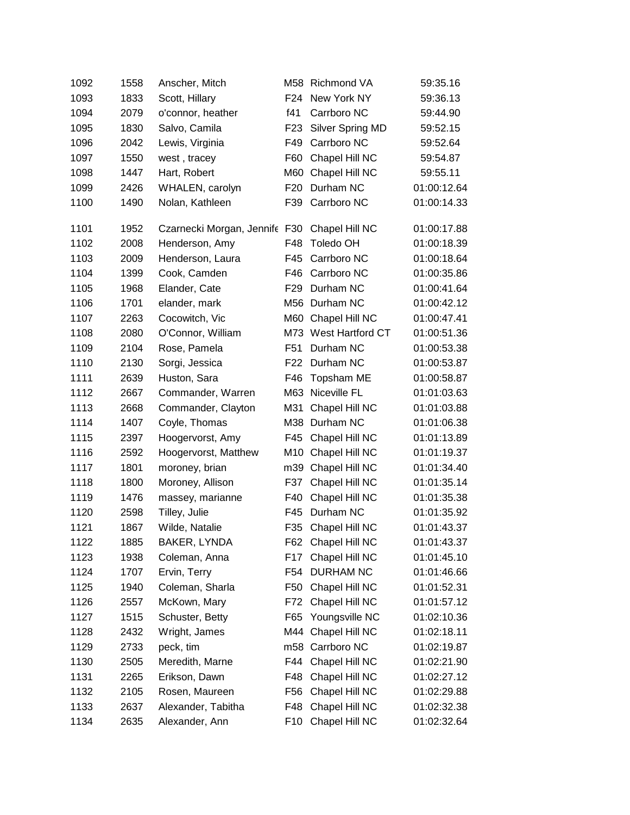| 1092 | 1558 | Anscher, Mitch            |                 | M58 Richmond VA    | 59:35.16    |
|------|------|---------------------------|-----------------|--------------------|-------------|
| 1093 | 1833 | Scott, Hillary            | F <sub>24</sub> | New York NY        | 59:36.13    |
| 1094 | 2079 | o'connor, heather         | f41             | Carrboro NC        | 59:44.90    |
| 1095 | 1830 | Salvo, Camila             | F <sub>23</sub> | Silver Spring MD   | 59:52.15    |
| 1096 | 2042 | Lewis, Virginia           | F49             | Carrboro NC        | 59:52.64    |
| 1097 | 1550 | west, tracey              | F60             | Chapel Hill NC     | 59:54.87    |
| 1098 | 1447 | Hart, Robert              | M60             | Chapel Hill NC     | 59:55.11    |
| 1099 | 2426 | WHALEN, carolyn           | F <sub>20</sub> | Durham NC          | 01:00:12.64 |
| 1100 | 1490 | Nolan, Kathleen           | F39             | Carrboro NC        | 01:00:14.33 |
| 1101 | 1952 | Czarnecki Morgan, Jennife | F30             | Chapel Hill NC     | 01:00:17.88 |
| 1102 | 2008 | Henderson, Amy            | F48             | <b>Toledo OH</b>   | 01:00:18.39 |
| 1103 | 2009 | Henderson, Laura          | F45             | Carrboro NC        | 01:00:18.64 |
| 1104 | 1399 | Cook, Camden              | F46             | Carrboro NC        | 01:00:35.86 |
| 1105 | 1968 | Elander, Cate             | F <sub>29</sub> | Durham NC          | 01:00:41.64 |
| 1106 | 1701 | elander, mark             | M56             | Durham NC          | 01:00:42.12 |
| 1107 | 2263 | Cocowitch, Vic            | M60             | Chapel Hill NC     | 01:00:47.41 |
| 1108 | 2080 | O'Connor, William         | M73             | West Hartford CT   | 01:00:51.36 |
| 1109 | 2104 | Rose, Pamela              | F51             | Durham NC          | 01:00:53.38 |
| 1110 | 2130 | Sorgi, Jessica            | F22             | Durham NC          | 01:00:53.87 |
| 1111 | 2639 | Huston, Sara              | F46             | Topsham ME         | 01:00:58.87 |
| 1112 | 2667 | Commander, Warren         | M63             | Niceville FL       | 01:01:03.63 |
| 1113 | 2668 | Commander, Clayton        | M31             | Chapel Hill NC     | 01:01:03.88 |
| 1114 | 1407 | Coyle, Thomas             | M38             | Durham NC          | 01:01:06.38 |
| 1115 | 2397 | Hoogervorst, Amy          | F45             | Chapel Hill NC     | 01:01:13.89 |
| 1116 | 2592 | Hoogervorst, Matthew      | M10             | Chapel Hill NC     | 01:01:19.37 |
| 1117 | 1801 | moroney, brian            | m39             | Chapel Hill NC     | 01:01:34.40 |
| 1118 | 1800 | Moroney, Allison          | F37             | Chapel Hill NC     | 01:01:35.14 |
| 1119 | 1476 | massey, marianne          | F40             | Chapel Hill NC     | 01:01:35.38 |
| 1120 | 2598 | Tilley, Julie             | F45             | Durham NC          | 01:01:35.92 |
| 1121 | 1867 | Wilde, Natalie            | F35             | Chapel Hill NC     | 01:01:43.37 |
| 1122 | 1885 | BAKER, LYNDA              |                 | F62 Chapel Hill NC | 01:01:43.37 |
| 1123 | 1938 | Coleman, Anna             | F17             | Chapel Hill NC     | 01:01:45.10 |
| 1124 | 1707 | Ervin, Terry              | F54             | <b>DURHAM NC</b>   | 01:01:46.66 |
| 1125 | 1940 | Coleman, Sharla           | F50             | Chapel Hill NC     | 01:01:52.31 |
| 1126 | 2557 | McKown, Mary              | F72             | Chapel Hill NC     | 01:01:57.12 |
| 1127 | 1515 | Schuster, Betty           | F65             | Youngsville NC     | 01:02:10.36 |
| 1128 | 2432 | Wright, James             |                 | M44 Chapel Hill NC | 01:02:18.11 |
| 1129 | 2733 | peck, tim                 |                 | m58 Carrboro NC    | 01:02:19.87 |
| 1130 | 2505 | Meredith, Marne           |                 | F44 Chapel Hill NC | 01:02:21.90 |
| 1131 | 2265 | Erikson, Dawn             | F48             | Chapel Hill NC     | 01:02:27.12 |
| 1132 | 2105 | Rosen, Maureen            | F <sub>56</sub> | Chapel Hill NC     | 01:02:29.88 |
| 1133 | 2637 | Alexander, Tabitha        | F48             | Chapel Hill NC     | 01:02:32.38 |
| 1134 | 2635 | Alexander, Ann            | F10             | Chapel Hill NC     | 01:02:32.64 |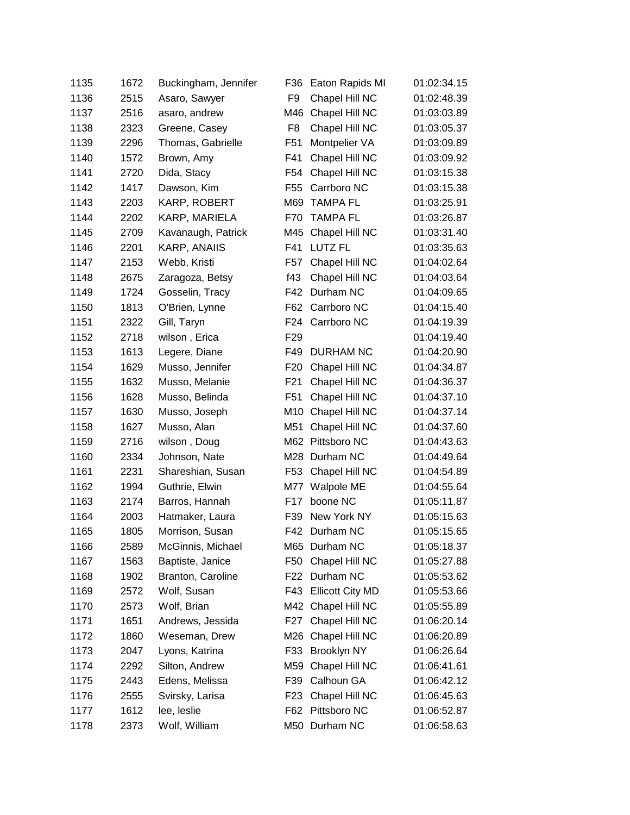| 1135 | 1672 | Buckingham, Jennifer | F36             | Eaton Rapids MI      | 01:02:34.15 |
|------|------|----------------------|-----------------|----------------------|-------------|
| 1136 | 2515 | Asaro, Sawyer        | F <sub>9</sub>  | Chapel Hill NC       | 01:02:48.39 |
| 1137 | 2516 | asaro, andrew        | M46             | Chapel Hill NC       | 01:03:03.89 |
| 1138 | 2323 | Greene, Casey        | F <sub>8</sub>  | Chapel Hill NC       | 01:03:05.37 |
| 1139 | 2296 | Thomas, Gabrielle    | F <sub>51</sub> | Montpelier VA        | 01:03:09.89 |
| 1140 | 1572 | Brown, Amy           | F41             | Chapel Hill NC       | 01:03:09.92 |
| 1141 | 2720 | Dida, Stacy          | F54             | Chapel Hill NC       | 01:03:15.38 |
| 1142 | 1417 | Dawson, Kim          | F <sub>55</sub> | Carrboro NC          | 01:03:15.38 |
| 1143 | 2203 | KARP, ROBERT         | M69             | <b>TAMPA FL</b>      | 01:03:25.91 |
| 1144 | 2202 | KARP, MARIELA        | F70             | <b>TAMPA FL</b>      | 01:03:26.87 |
| 1145 | 2709 | Kavanaugh, Patrick   | M45             | Chapel Hill NC       | 01:03:31.40 |
| 1146 | 2201 | KARP, ANAIIS         | F41             | <b>LUTZ FL</b>       | 01:03:35.63 |
| 1147 | 2153 | Webb, Kristi         | F57             | Chapel Hill NC       | 01:04:02.64 |
| 1148 | 2675 | Zaragoza, Betsy      | f43             | Chapel Hill NC       | 01:04:03.64 |
| 1149 | 1724 | Gosselin, Tracy      | F42             | Durham NC            | 01:04:09.65 |
| 1150 | 1813 | O'Brien, Lynne       | F62             | Carrboro NC          | 01:04:15.40 |
| 1151 | 2322 | Gill, Taryn          | F24             | Carrboro NC          | 01:04:19.39 |
| 1152 | 2718 | wilson, Erica        | F <sub>29</sub> |                      | 01:04:19.40 |
| 1153 | 1613 | Legere, Diane        | F49             | <b>DURHAM NC</b>     | 01:04:20.90 |
| 1154 | 1629 | Musso, Jennifer      | F <sub>20</sub> | Chapel Hill NC       | 01:04:34.87 |
| 1155 | 1632 | Musso, Melanie       | F <sub>21</sub> | Chapel Hill NC       | 01:04:36.37 |
| 1156 | 1628 | Musso, Belinda       | F51             | Chapel Hill NC       | 01:04:37.10 |
| 1157 | 1630 | Musso, Joseph        | M10             | Chapel Hill NC       | 01:04:37.14 |
| 1158 | 1627 | Musso, Alan          | M51             | Chapel Hill NC       | 01:04:37.60 |
| 1159 | 2716 | wilson, Doug         |                 | M62 Pittsboro NC     | 01:04:43.63 |
| 1160 | 2334 | Johnson, Nate        | M28             | Durham NC            | 01:04:49.64 |
| 1161 | 2231 | Shareshian, Susan    | F53             | Chapel Hill NC       | 01:04:54.89 |
| 1162 | 1994 | Guthrie, Elwin       |                 | M77 Walpole ME       | 01:04:55.64 |
| 1163 | 2174 | Barros, Hannah       | F17             | boone NC             | 01:05:11.87 |
| 1164 | 2003 | Hatmaker, Laura      | F39             | New York NY          | 01:05:15.63 |
| 1165 | 1805 | Morrison, Susan      |                 | F42 Durham NC        | 01:05:15.65 |
| 1166 | 2589 | McGinnis, Michael    |                 | M65 Durham NC        | 01:05:18.37 |
| 1167 | 1563 | Baptiste, Janice     | F50             | Chapel Hill NC       | 01:05:27.88 |
| 1168 | 1902 | Branton, Caroline    |                 | F22 Durham NC        | 01:05:53.62 |
| 1169 | 2572 | Wolf, Susan          |                 | F43 Ellicott City MD | 01:05:53.66 |
| 1170 | 2573 | Wolf, Brian          |                 | M42 Chapel Hill NC   | 01:05:55.89 |
| 1171 | 1651 | Andrews, Jessida     | F27             | Chapel Hill NC       | 01:06:20.14 |
| 1172 | 1860 | Weseman, Drew        | M26             | Chapel Hill NC       | 01:06:20.89 |
| 1173 | 2047 | Lyons, Katrina       | F33             | <b>Brooklyn NY</b>   | 01:06:26.64 |
| 1174 | 2292 | Silton, Andrew       | M59             | Chapel Hill NC       | 01:06:41.61 |
| 1175 | 2443 | Edens, Melissa       | F39             | Calhoun GA           | 01:06:42.12 |
| 1176 | 2555 | Svirsky, Larisa      | F <sub>23</sub> | Chapel Hill NC       | 01:06:45.63 |
| 1177 | 1612 | lee, leslie          |                 | F62 Pittsboro NC     | 01:06:52.87 |
| 1178 | 2373 | Wolf, William        |                 | M50 Durham NC        | 01:06:58.63 |
|      |      |                      |                 |                      |             |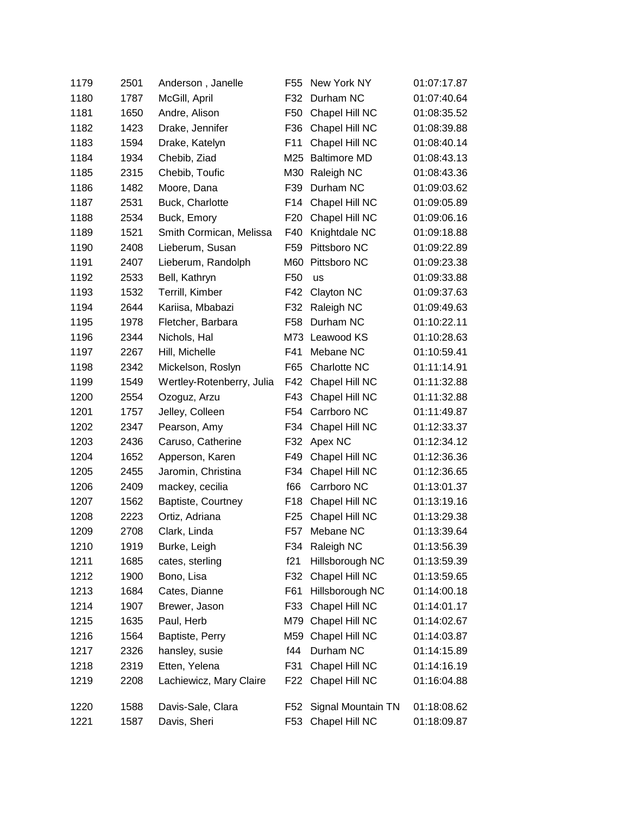| 1179 | 2501 | Anderson, Janelle         | F <sub>55</sub> | New York NY         | 01:07:17.87 |
|------|------|---------------------------|-----------------|---------------------|-------------|
| 1180 | 1787 | McGill, April             | F32             | Durham NC           | 01:07:40.64 |
| 1181 | 1650 | Andre, Alison             | F50             | Chapel Hill NC      | 01:08:35.52 |
| 1182 | 1423 | Drake, Jennifer           | F36             | Chapel Hill NC      | 01:08:39.88 |
| 1183 | 1594 | Drake, Katelyn            | F11             | Chapel Hill NC      | 01:08:40.14 |
| 1184 | 1934 | Chebib, Ziad              | M25             | <b>Baltimore MD</b> | 01:08:43.13 |
| 1185 | 2315 | Chebib, Toufic            | M30             | Raleigh NC          | 01:08:43.36 |
| 1186 | 1482 | Moore, Dana               | F39             | Durham NC           | 01:09:03.62 |
| 1187 | 2531 | Buck, Charlotte           | F <sub>14</sub> | Chapel Hill NC      | 01:09:05.89 |
| 1188 | 2534 | Buck, Emory               | F <sub>20</sub> | Chapel Hill NC      | 01:09:06.16 |
| 1189 | 1521 | Smith Cormican, Melissa   | F40             | Knightdale NC       | 01:09:18.88 |
| 1190 | 2408 | Lieberum, Susan           | F59             | Pittsboro NC        | 01:09:22.89 |
| 1191 | 2407 | Lieberum, Randolph        | M60             | Pittsboro NC        | 01:09:23.38 |
| 1192 | 2533 | Bell, Kathryn             | F50             | us                  | 01:09:33.88 |
| 1193 | 1532 | Terrill, Kimber           | F42             | Clayton NC          | 01:09:37.63 |
| 1194 | 2644 | Kariisa, Mbabazi          | F32             | Raleigh NC          | 01:09:49.63 |
| 1195 | 1978 | Fletcher, Barbara         | F58             | Durham NC           | 01:10:22.11 |
| 1196 | 2344 | Nichols, Hal              | M73             | Leawood KS          | 01:10:28.63 |
| 1197 | 2267 | Hill, Michelle            | F41             | Mebane NC           | 01:10:59.41 |
| 1198 | 2342 | Mickelson, Roslyn         | F65             | Charlotte NC        | 01:11:14.91 |
| 1199 | 1549 | Wertley-Rotenberry, Julia | F42             | Chapel Hill NC      | 01:11:32.88 |
| 1200 | 2554 | Ozoguz, Arzu              | F43             | Chapel Hill NC      | 01:11:32.88 |
| 1201 | 1757 | Jelley, Colleen           | F <sub>54</sub> | Carrboro NC         | 01:11:49.87 |
| 1202 | 2347 | Pearson, Amy              | F34             | Chapel Hill NC      | 01:12:33.37 |
| 1203 | 2436 | Caruso, Catherine         | F32             | Apex NC             | 01:12:34.12 |
| 1204 | 1652 | Apperson, Karen           | F49             | Chapel Hill NC      | 01:12:36.36 |
| 1205 | 2455 | Jaromin, Christina        | F34             | Chapel Hill NC      | 01:12:36.65 |
| 1206 | 2409 | mackey, cecilia           | f66             | Carrboro NC         | 01:13:01.37 |
| 1207 | 1562 | Baptiste, Courtney        | F <sub>18</sub> | Chapel Hill NC      | 01:13:19.16 |
| 1208 | 2223 | Ortiz, Adriana            | F <sub>25</sub> | Chapel Hill NC      | 01:13:29.38 |
| 1209 | 2708 | Clark, Linda              | F <sub>57</sub> | Mebane NC           | 01:13:39.64 |
| 1210 | 1919 | Burke, Leigh              | F34             | Raleigh NC          | 01:13:56.39 |
| 1211 | 1685 | cates, sterling           | f21             | Hillsborough NC     | 01:13:59.39 |
| 1212 | 1900 | Bono, Lisa                | F32             | Chapel Hill NC      | 01:13:59.65 |
| 1213 | 1684 | Cates, Dianne             | F61             | Hillsborough NC     | 01:14:00.18 |
| 1214 | 1907 | Brewer, Jason             | F33             | Chapel Hill NC      | 01:14:01.17 |
| 1215 | 1635 | Paul, Herb                | M79             | Chapel Hill NC      | 01:14:02.67 |
| 1216 | 1564 | Baptiste, Perry           | M59             | Chapel Hill NC      | 01:14:03.87 |
| 1217 | 2326 | hansley, susie            | f44             | Durham NC           | 01:14:15.89 |
| 1218 | 2319 | Etten, Yelena             | F31             | Chapel Hill NC      | 01:14:16.19 |
| 1219 | 2208 | Lachiewicz, Mary Claire   |                 | F22 Chapel Hill NC  | 01:16:04.88 |
| 1220 | 1588 | Davis-Sale, Clara         | F52             | Signal Mountain TN  | 01:18:08.62 |
| 1221 | 1587 | Davis, Sheri              | F <sub>53</sub> | Chapel Hill NC      | 01:18:09.87 |